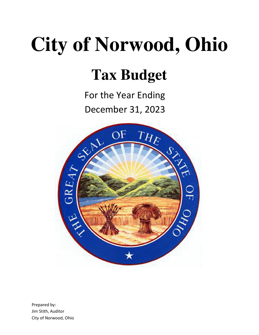# **City of Norwood, Ohio**

## **Tax Budget**

For the Year Ending December 31, 2023



Prepared by: Jim Stith, Auditor City of Norwood, Ohio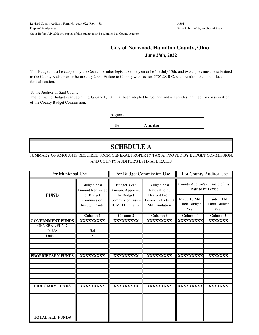#### **City of Norwood, Hamilton County, Ohio June 28th, 2022**

This Budget must be adopted by the Council or other legislative body on or before July 15th, and two copies must be submitted to the County Auditor on or before July 20th. Failure to Comply with section 5705.28 R.C. shall result in the loss of local fund allocation.

To the Auditor of Said County:

The following Budget year beginning January 1, 2022 has been adopted by Council and is hereith submitted for consideration of the County Budget Commission.

Signed

Title **Auditor**

## **SCHEDULE A**

#### SUMMARY OF AMOIUNTS REQUIRED FROM GENERAL PROPERTY TAX APPROVED BY BUDGET COMMISSION, AND COUNTY AUDITOR'S ESTIMATE RATES

| For Municipal Use        |                                               |                                                      | For Budget Commission Use                           | For County Auditor Use                                |                                         |  |
|--------------------------|-----------------------------------------------|------------------------------------------------------|-----------------------------------------------------|-------------------------------------------------------|-----------------------------------------|--|
|                          | <b>Budget Year</b><br><b>Amount Requested</b> | <b>Budget Year</b><br>Amount Approved                | <b>Budget Year</b><br>Amount to by                  | County Auditor's estimate of Tax<br>Rate to be Levied |                                         |  |
| <b>FUND</b>              | of Budget<br>Commission<br>Inside/Outside     | by Budget<br>Commission Inside<br>10 Mill Limitation | Derived From<br>Levies Outside 10<br>Mil Limitation | Inside 10 Mill<br>Limit Budget<br>Year                | Outside 10 Mill<br>Limit Budget<br>Year |  |
|                          | Column 1                                      | $\overline{\mathrm{Column}}$ 2                       | Column 3                                            | Column 4                                              | Column 5                                |  |
| <b>GOVERNMENT FUNDS</b>  | XXXXXXXXX                                     | XXXXXXXXX                                            | XXXXXXXXX                                           | XXXXXXXXX                                             | XXXXXXX                                 |  |
| <b>GENERAL FUND</b>      |                                               |                                                      |                                                     |                                                       |                                         |  |
| Inside                   | 3.4                                           |                                                      |                                                     |                                                       |                                         |  |
| Outside                  | 8                                             |                                                      |                                                     |                                                       |                                         |  |
|                          |                                               |                                                      |                                                     |                                                       |                                         |  |
|                          |                                               |                                                      |                                                     |                                                       |                                         |  |
| <b>PROPRIETARY FUNDS</b> | XXXXXXXXX                                     | XXXXXXXXX                                            | XXXXXXXXX                                           | XXXXXXXXX                                             | XXXXXXX                                 |  |
|                          |                                               |                                                      |                                                     |                                                       |                                         |  |
|                          |                                               |                                                      |                                                     |                                                       |                                         |  |
| <b>FIDUCIARY FUNDS</b>   | XXXXXXXXX                                     | XXXXXXXXX                                            | XXXXXXXXX                                           | XXXXXXXXX                                             | XXXXXXX                                 |  |
|                          |                                               |                                                      |                                                     |                                                       |                                         |  |
|                          |                                               |                                                      |                                                     |                                                       |                                         |  |
|                          |                                               |                                                      |                                                     |                                                       |                                         |  |
| <b>TOTAL ALL FUNDS</b>   |                                               |                                                      |                                                     |                                                       |                                         |  |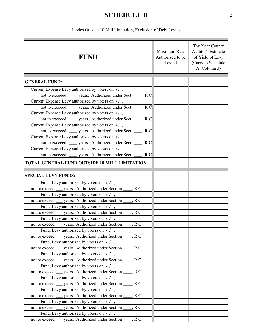## **SCHEDULE B**

Levies Outside 10 Mill Limitation, Exclusion of Debt Levies

| <b>FUND</b>                                                                                              | Maximum Rate<br>Authorized to be<br>Levied | Tax Year County<br><b>Auditor's Estimate</b><br>of Yield of Levy<br>(Carry to Schedule<br>A, Column 3) |  |  |
|----------------------------------------------------------------------------------------------------------|--------------------------------------------|--------------------------------------------------------------------------------------------------------|--|--|
| <b>GENERAL FUND:</b>                                                                                     |                                            |                                                                                                        |  |  |
| Current Expense Levy authorized by voters on //,                                                         |                                            |                                                                                                        |  |  |
| not to exceed _____ years. Authorized under Sect. ____, R.C                                              |                                            |                                                                                                        |  |  |
| Current Expense Levy authorized by voters on //,                                                         |                                            |                                                                                                        |  |  |
| not to exceed ______ years. Authorized under Sect.<br>, R.C.                                             |                                            |                                                                                                        |  |  |
| Current Expense Levy authorized by voters on //,                                                         |                                            |                                                                                                        |  |  |
| not to exceed _____ years. Authorized under Sect. ___<br>R.C                                             |                                            |                                                                                                        |  |  |
| Current Expense Levy authorized by voters on //,                                                         |                                            |                                                                                                        |  |  |
| not to exceed _____ years. Authorized under Sect. ____, R.C                                              |                                            |                                                                                                        |  |  |
| Current Expense Levy authorized by voters on //,                                                         |                                            |                                                                                                        |  |  |
| not to exceed _____ years. Authorized under Sect. ____, R.C.                                             |                                            |                                                                                                        |  |  |
| Current Expense Levy authorized by voters on //,                                                         |                                            |                                                                                                        |  |  |
| not to exceeed _______ years. Authorized under Sect. _____, R.C                                          |                                            |                                                                                                        |  |  |
| TOTAL GENERAL FUND OUTSIDE 10 MILL LIMITATION                                                            |                                            |                                                                                                        |  |  |
| <b>SPECIAL LEVY FUNDS:</b>                                                                               |                                            |                                                                                                        |  |  |
|                                                                                                          |                                            |                                                                                                        |  |  |
| Fund, Levy authorized by voters on //,                                                                   |                                            |                                                                                                        |  |  |
| not to exceed ____ years. Authorized under Section _____, R.C.<br>Fund, Levy authorized by voters on //, |                                            |                                                                                                        |  |  |
| not to exceed ___ years. Authorized under Section ____, R.C.                                             |                                            |                                                                                                        |  |  |
| Fund, Levy authorized by voters on //,                                                                   |                                            |                                                                                                        |  |  |
| not to exceed __ years. Authorized under Section ____, R.C.                                              |                                            |                                                                                                        |  |  |
| Fund, Levy authorized by voters on //,                                                                   |                                            |                                                                                                        |  |  |
| not to exceed ____ years. Authorized under Section _____, R.C.                                           |                                            |                                                                                                        |  |  |
| Fund, Levy authorized by voters on / /,                                                                  |                                            |                                                                                                        |  |  |
| not to exceed ____ years. Authorized under Section _____, R.C.                                           |                                            |                                                                                                        |  |  |
| Fund, Levy authorized by voters on / /,                                                                  |                                            |                                                                                                        |  |  |
| . R.C.<br>not to exceed ____ years. Authorized under Section                                             |                                            |                                                                                                        |  |  |
| Fund, Levy authorized by voters on //,                                                                   |                                            |                                                                                                        |  |  |
| not to exceed ___ years. Authorized under Section _<br>, R.C.                                            |                                            |                                                                                                        |  |  |
| Fund, Levy authorized by voters on //,                                                                   |                                            |                                                                                                        |  |  |
| not to exceed ____ years. Authorized under Section _<br>, R.C.                                           |                                            |                                                                                                        |  |  |
| Fund, Levy authorized by voters on / /,<br>not to exceed ___ years. Authorized under Section<br>, R.C.   |                                            |                                                                                                        |  |  |
| Fund, Levy authorized by voters on / /,                                                                  |                                            |                                                                                                        |  |  |
| not to exceed ____ years. Authorized under Section<br>, R.C.                                             |                                            |                                                                                                        |  |  |
| Fund, Levy authorized by voters on //,                                                                   |                                            |                                                                                                        |  |  |
| not to exceed __ years. Authorized under Section<br>, R.C.                                               |                                            |                                                                                                        |  |  |
| Fund, Levy authorized by voters on / /,                                                                  |                                            |                                                                                                        |  |  |
| not to exceed ___ years. Authorized under Section _<br>R.C.                                              |                                            |                                                                                                        |  |  |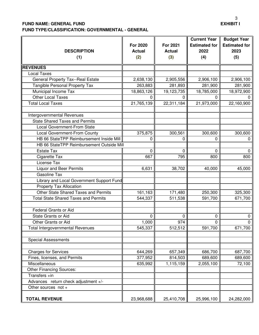#### **FUND NAME: GENERAL FUND**

 $\mathbf{r}$ 

**FUND TYPE/CLASSIFICATION: GOVERNMENTAL - GENERAL**

|                        | з                |
|------------------------|------------------|
|                        | <b>EXHIBIT I</b> |
|                        |                  |
|                        |                  |
| Current Year II Budget |                  |

| <b>DESCRIPTION</b><br>(1)                   | <b>For 2020</b><br><b>Actual</b><br>(2) | For 2021<br><b>Actual</b><br>(3) | <b>Current Year</b><br><b>Estimated for</b><br>2022<br>(4) | <b>Budget Year</b><br><b>Estimated for</b><br>2023<br>(5) |
|---------------------------------------------|-----------------------------------------|----------------------------------|------------------------------------------------------------|-----------------------------------------------------------|
| <b>REVENUES</b>                             |                                         |                                  |                                                            |                                                           |
| <b>Local Taxes</b>                          |                                         |                                  |                                                            |                                                           |
| <b>General Property Tax--Real Estate</b>    | 2,638,130                               | 2,905,556                        | 2,906,100                                                  | 2,906,100                                                 |
| Tangible Personal Property Tax              | 263,883                                 | 281,893                          | 281,900                                                    | 281,900                                                   |
| Municipal Income Tax                        | 18,863,126                              | 19,123,735                       | 18,785,000                                                 | 18,972,900                                                |
| <b>Other Local Taxes</b>                    |                                         | 0                                | 0                                                          |                                                           |
| <b>Total Local Taxes</b>                    | 21,765,139                              | 22,311,184                       | 21,973,000                                                 | 22,160,900                                                |
| Intergovernmental Revenues                  |                                         |                                  |                                                            |                                                           |
| <b>State Shared Taxes and Permits</b>       |                                         |                                  |                                                            |                                                           |
| <b>Local Government-From State</b>          |                                         |                                  |                                                            |                                                           |
| Local Government-From County                | 375,875                                 | 300,561                          | 300,600                                                    | 300,600                                                   |
| HB 66 StateTPP Reimbursement Inside Mill    | 0                                       | 0                                | 0                                                          | 0                                                         |
| HB 66 StateTPP Reimbursement Outside Mill   |                                         |                                  |                                                            |                                                           |
| <b>Estate Tax</b>                           | 0                                       | 0                                | 0                                                          | 0                                                         |
| Cigarette Tax                               | 667                                     | 795                              | 800                                                        | 800                                                       |
| License Tax                                 |                                         |                                  |                                                            |                                                           |
| <b>Liquor and Beer Permits</b>              | 6,631                                   | 38,702                           | 40,000                                                     | 45,000                                                    |
| <b>Gasoline Tax</b>                         |                                         |                                  |                                                            |                                                           |
| Library and Local Government Support Fund   |                                         |                                  |                                                            |                                                           |
| Property Tax Allocation                     |                                         |                                  |                                                            |                                                           |
| <b>Other State Shared Taxes and Permits</b> | 161,163                                 | 171,480                          | 250,300                                                    | 325,300                                                   |
| <b>Total State Shared Taxes and Permits</b> | 544,337                                 | 511,538                          | 591,700                                                    | 671,700                                                   |
| <b>Federal Grants or Aid</b>                |                                         |                                  |                                                            |                                                           |
| <b>State Grants or Aid</b>                  | 0                                       | 0                                | 0                                                          | 0                                                         |
| Other Grants or Aid                         | 1,000                                   | 974                              | 0                                                          | 0                                                         |
| <b>Total Intergovernmental Revenues</b>     | 545,337                                 | 512,512                          | 591,700                                                    | 671,700                                                   |
| <b>Special Assessments</b>                  |                                         |                                  |                                                            |                                                           |
| <b>Charges for Services</b>                 | 644,269                                 | 657,349                          | 686,700                                                    | 687,700                                                   |
| Fines, licenses, and Permits                | 377,952                                 | 814,503                          | 689,600                                                    | 689,600                                                   |
| Miscellaneous                               | 635,992                                 | 1,115,159                        | 2,055,100                                                  | 72,100                                                    |
| <b>Other Financing Sources:</b>             |                                         |                                  |                                                            |                                                           |
| Transfers +in                               |                                         |                                  |                                                            |                                                           |
| Advances return check adjustment +/-        |                                         |                                  |                                                            |                                                           |
| Other sources not +                         |                                         |                                  |                                                            |                                                           |
| <b>TOTAL REVENUE</b>                        | 23,968,688                              | 25,410,708                       | 25,996,100                                                 | 24,282,000                                                |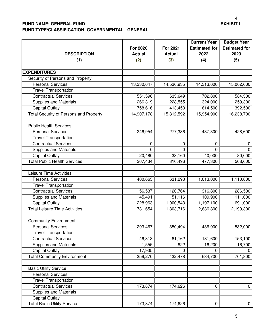## <sup>4</sup><br>EXHIBIT I

#### **FUND NAME: GENERAL FUND FUND TYPE/CLASSIFICATION: GOVERNMENTAL - GENERAL**

| <b>DESCRIPTION</b><br>(1)                     | <b>For 2020</b><br><b>Actual</b><br>(2) | For 2021<br><b>Actual</b><br>(3) | <b>Current Year</b><br><b>Estimated for</b><br>2022<br>(4) | <b>Budget Year</b><br><b>Estimated for</b><br>2023<br>(5) |
|-----------------------------------------------|-----------------------------------------|----------------------------------|------------------------------------------------------------|-----------------------------------------------------------|
| <b>EXPENDITURES</b>                           |                                         |                                  |                                                            |                                                           |
| Security of Persons and Property              |                                         |                                  |                                                            |                                                           |
| <b>Personal Services</b>                      | 13,330,647                              | 14,536,935                       | 14,313,600                                                 | 15,002,600                                                |
| <b>Travel Transportation</b>                  |                                         |                                  |                                                            |                                                           |
| <b>Contractual Services</b>                   | 551,596                                 | 633,649                          | 702,800                                                    | 584,300                                                   |
| <b>Supplies and Materials</b>                 | 266,319                                 | 228,555                          | 324,000                                                    | 259,300                                                   |
| <b>Capital Outlay</b>                         | 758,616                                 | 413,453                          | 614,500                                                    | 392,500                                                   |
| <b>Total Security of Persons and Property</b> | 14,907,178                              | 15,812,592                       | 15,954,900                                                 | 16,238,700                                                |
| <b>Public Health Services</b>                 |                                         |                                  |                                                            |                                                           |
| <b>Personal Services</b>                      | 246,954                                 | 277,336                          | 437,300                                                    | 428,600                                                   |
| <b>Travel Transportation</b>                  |                                         |                                  |                                                            |                                                           |
| <b>Contractual Services</b>                   | 0                                       | 0                                | 0                                                          | 0                                                         |
| <b>Supplies and Materials</b>                 | $\Omega$                                | 0                                | 0                                                          | 0                                                         |
| <b>Capital Outlay</b>                         | 20,480                                  | 33,160                           | 40,000                                                     | 80,000                                                    |
| <b>Total Public Health Services</b>           | 267,434                                 | 310,496                          | 477,300                                                    | 508,600                                                   |
|                                               |                                         |                                  |                                                            |                                                           |
| <b>Leisure Time Activities</b>                |                                         |                                  |                                                            |                                                           |
| <b>Personal Services</b>                      | 400,663                                 | 631,293                          | 1,013,000                                                  | 1,110,800                                                 |
| <b>Travel Transportation</b>                  |                                         |                                  |                                                            |                                                           |
| <b>Contractual Services</b>                   | 56,537                                  | 120,764                          | 316,800                                                    | 286,500                                                   |
| Supplies and Materials                        | 45,491                                  | 51,116                           | 109,900                                                    | 111,000                                                   |
| <b>Capital Outlay</b>                         | 228,963                                 | 1,000,543                        | 1,197,100                                                  | 691,000                                                   |
| <b>Total Leisure Time Activities</b>          | 731,654                                 | 1,803,716                        | 2,636,800                                                  | 2,199,300                                                 |
| <b>Community Environment</b>                  |                                         |                                  |                                                            |                                                           |
| <b>Personal Services</b>                      | 293,467                                 | 350,494                          | 436,900                                                    | 532,000                                                   |
| <b>Travel Transportation</b>                  |                                         |                                  |                                                            |                                                           |
| <b>Contractual Services</b>                   | 46,313                                  | 81,162                           | 181,600                                                    | 153,100                                                   |
| Supplies and Materials                        | 1,555                                   | 822                              | 16,200                                                     | 16,700                                                    |
| <b>Capital Outlay</b>                         | 17,935                                  | 0                                | 0                                                          | $\Omega$                                                  |
| <b>Total Community Environment</b>            | 359,270                                 | 432,478                          | 634,700                                                    | 701,800                                                   |
|                                               |                                         |                                  |                                                            |                                                           |
| <b>Basic Utility Service</b>                  |                                         |                                  |                                                            |                                                           |
| <b>Personal Services</b>                      |                                         |                                  |                                                            |                                                           |
| <b>Travel Transportation</b>                  |                                         |                                  |                                                            |                                                           |
| <b>Contractual Services</b>                   | 173,874                                 | 174,626                          | 0                                                          | 0                                                         |
| <b>Supplies and Materials</b>                 |                                         |                                  |                                                            |                                                           |
| <b>Capital Outlay</b>                         |                                         |                                  |                                                            |                                                           |
| <b>Total Basic Utility Service</b>            | 173,874                                 | 174,626                          | $\mathbf 0$                                                | $\circ$                                                   |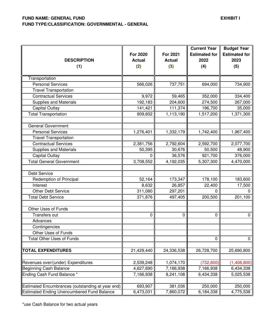| <b>DESCRIPTION</b><br>(1)                         | <b>For 2020</b><br><b>Actual</b><br>(2) | <b>For 2021</b><br><b>Actual</b><br>(3) | <b>Current Year</b><br><b>Estimated for</b><br>2022<br>(4) | <b>Budget Year</b><br><b>Estimated for</b><br>2023<br>(5) |
|---------------------------------------------------|-----------------------------------------|-----------------------------------------|------------------------------------------------------------|-----------------------------------------------------------|
| Transportation                                    |                                         |                                         |                                                            |                                                           |
| <b>Personal Services</b>                          | 566,026                                 | 737,751                                 | 694,000                                                    | 734,900                                                   |
| <b>Travel Transportation</b>                      |                                         |                                         |                                                            |                                                           |
| <b>Contractual Services</b>                       | 9,972                                   | 59,465                                  | 352,000                                                    | 334,400                                                   |
| <b>Supplies and Materials</b>                     | 192,183                                 | 204,600                                 | 274,500                                                    | 267,000                                                   |
| <b>Capital Outlay</b>                             | 141,421                                 | 111,374                                 | 196,700                                                    | 35,000                                                    |
| <b>Total Transportation</b>                       | 909,602                                 | 1,113,190                               | 1,517,200                                                  | 1,371,300                                                 |
| General Government                                |                                         |                                         |                                                            |                                                           |
| <b>Personal Services</b>                          | 1,276,401                               | 1,332,179                               | 1,742,400                                                  | 1,967,400                                                 |
| <b>Travel Transportation</b>                      |                                         |                                         |                                                            |                                                           |
| Contractual Services                              | 2,381,756                               | 2,792,604                               | 2,592,700                                                  | 2,077,700                                                 |
| <b>Supplies and Materials</b>                     | 50,395                                  | 30,676                                  | 50,500                                                     | 48,900                                                    |
| <b>Capital Outlay</b>                             | 0                                       | 36,576                                  | 921,700                                                    | 376,000                                                   |
| <b>Total General Government</b>                   | 3,708,552                               | 4,192,035                               | 5,307,300                                                  | 4,470,000                                                 |
| Debt Service                                      |                                         |                                         |                                                            |                                                           |
| Redemption of Principal                           | 52,164                                  | 173,347                                 | 178,100                                                    | 183,600                                                   |
| Interest                                          | 8,632                                   | 26,857                                  | 22,400                                                     | 17,500                                                    |
| <b>Other Debt Service</b>                         | 311,080                                 | 297,201                                 | 0                                                          | $\Omega$                                                  |
| <b>Total Debt Service</b>                         | 371,876                                 | 497,405                                 | 200,500                                                    | 201,100                                                   |
| Other Uses of Funds                               |                                         |                                         |                                                            |                                                           |
| Transfers out                                     | 0                                       | 0                                       | 0                                                          | 0                                                         |
| Advances                                          |                                         |                                         |                                                            |                                                           |
| Contingencies                                     |                                         |                                         |                                                            |                                                           |
| Other Uses of Funds                               |                                         |                                         |                                                            |                                                           |
| <b>Total Other Uses of Funds</b>                  |                                         |                                         | 0                                                          | $\mathbf 0$                                               |
| <b>TOTAL EXPENDITURES</b>                         | 21,429,440                              | 24,336,538                              | 26,728,700                                                 | 25,690,800                                                |
| Revenues over/(under) Expenditures                | 2,539,248                               | 1,074,170                               | (732, 600)                                                 | (1,408,800)                                               |
| Beginning Cash Balance                            | 4,627,690                               | 7,166,938                               | 7,166,938                                                  | 6,434,338                                                 |
| Ending Cash Fund Balance *                        | 7,166,938                               | 8,241,108                               | 6,434,338                                                  | 5,025,538                                                 |
| Estimated Encumbrances (outstanding at year end)  | 693,907                                 | 381,036                                 | 250,000                                                    | 250,000                                                   |
| <b>Estimated Ending Unencumbered Fund Balance</b> | 6,473,031                               | 7,860,072                               | 6,184,338                                                  | 4,775,538                                                 |

\*use Cash Balance for two actual years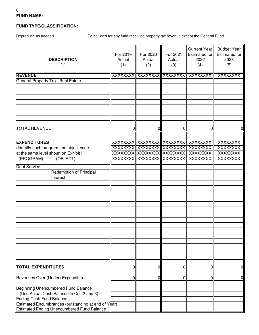#### 6 **FUND NAME:**

#### **FUND TYPE/CLASSIFICATION:**

Reproduce as needed To be used for any fund receiving property tax revenue except the General Fund.

| <b>DESCRIPTION</b><br>(1)                           | For 2019<br>Actual<br>(1) | For 2020<br>Actual<br>(2) | For 2021<br>Actual<br>(3) | Current Year<br>Estimated for<br>2022<br>(4) | <b>Budget Year</b><br><b>Estimated for</b><br>2023<br>(5) |
|-----------------------------------------------------|---------------------------|---------------------------|---------------------------|----------------------------------------------|-----------------------------------------------------------|
| <b>REVENUE</b>                                      |                           |                           |                           | XXXXXXXX XXXXXXXX XXXXXXXXX  XXXXXXXX        | XXXXXXXX                                                  |
| <b>General Property Tax--Real Estate</b>            |                           |                           |                           |                                              |                                                           |
|                                                     |                           |                           |                           |                                              |                                                           |
|                                                     |                           |                           |                           |                                              |                                                           |
|                                                     |                           |                           |                           |                                              |                                                           |
|                                                     |                           |                           |                           |                                              |                                                           |
|                                                     |                           |                           |                           |                                              |                                                           |
|                                                     |                           |                           |                           |                                              |                                                           |
|                                                     |                           |                           |                           |                                              |                                                           |
|                                                     |                           |                           |                           |                                              |                                                           |
|                                                     |                           |                           |                           |                                              |                                                           |
| <b>TOTAL REVENUE</b>                                | 0                         | 0                         | 0                         | 0                                            |                                                           |
|                                                     |                           |                           |                           |                                              | 01                                                        |
|                                                     |                           |                           |                           |                                              |                                                           |
|                                                     |                           |                           |                           |                                              | <b>XXXXXXXX</b>                                           |
| <b>EXPENDITURES</b>                                 |                           |                           |                           |                                              |                                                           |
| (Identify each program and abject code              |                           |                           |                           | XXXXXXXX XXXXXXXXX XXXXXXXXX XXXXXXX         | <b>XXXXXXXX</b>                                           |
| at the same level shoun on Exhibit I                |                           |                           |                           | XXXXXXXX  XXXXXXXX XXXXXXXXX XXXXXXXX        | <b>XXXXXXXX</b>                                           |
| (PROGRAM)<br>(OBJECT)                               |                           |                           |                           | XXXXXXXX XXXXXXXXXXXXXXXXXXXXXXXXXX          | <b>XXXXXXXX</b>                                           |
|                                                     |                           |                           |                           |                                              |                                                           |
| <b>Debt Service</b>                                 |                           |                           |                           |                                              |                                                           |
| Redemption of Principal                             |                           |                           |                           |                                              |                                                           |
| Interest                                            |                           |                           |                           |                                              |                                                           |
|                                                     |                           |                           |                           |                                              |                                                           |
|                                                     |                           |                           |                           |                                              |                                                           |
|                                                     |                           |                           |                           |                                              |                                                           |
|                                                     |                           |                           |                           |                                              |                                                           |
|                                                     |                           |                           |                           |                                              |                                                           |
|                                                     |                           |                           |                           |                                              |                                                           |
|                                                     |                           |                           |                           |                                              |                                                           |
|                                                     |                           |                           |                           |                                              |                                                           |
|                                                     |                           |                           |                           |                                              |                                                           |
|                                                     |                           |                           |                           |                                              |                                                           |
|                                                     |                           |                           |                           |                                              |                                                           |
|                                                     |                           |                           |                           |                                              |                                                           |
|                                                     |                           |                           |                           |                                              |                                                           |
|                                                     |                           |                           |                           |                                              |                                                           |
|                                                     |                           |                           |                           |                                              |                                                           |
|                                                     |                           |                           |                           |                                              |                                                           |
|                                                     |                           |                           |                           |                                              |                                                           |
|                                                     |                           |                           |                           |                                              |                                                           |
| <b>TOTAL EXPENDITURES</b>                           | 0                         | 0                         | 0                         | $\overline{0}$                               | $\overline{0}$                                            |
|                                                     |                           |                           |                           |                                              |                                                           |
| Revenues Over (Under) Expenditures                  | 0                         | O                         | 0                         | 0                                            | 01                                                        |
|                                                     |                           |                           |                           |                                              |                                                           |
|                                                     |                           |                           |                           |                                              |                                                           |
| Beginning Unencumbered Fund Balance                 |                           |                           |                           |                                              |                                                           |
| (Use Actual Cash Balance in Col. 2 and 3)           |                           |                           |                           |                                              |                                                           |
| Ending Cash Fund Balance                            |                           |                           |                           |                                              |                                                           |
| Estimated Encumbrances (outstanding at end of Year) |                           |                           |                           |                                              |                                                           |
| <b>Estimated Ending Unencumbered Fund Balance</b>   |                           |                           |                           |                                              |                                                           |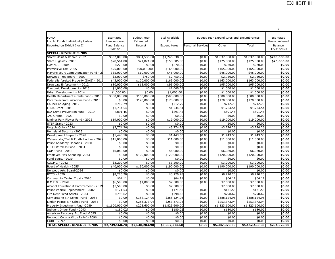|                                                          |                           |                                 |                               |                          |                                           |                       | $\overline{7}$            |
|----------------------------------------------------------|---------------------------|---------------------------------|-------------------------------|--------------------------|-------------------------------------------|-----------------------|---------------------------|
| <b>FUND</b><br>List All Funds Individually Unless        | Estimated<br>Unencumbered | <b>Budget Year</b><br>Estimated | <b>Total Available</b><br>For |                          | Budget Year Expenditures and Encumbrances |                       | Estimated<br>Unencumbered |
| Reported on Exhibit I or II                              | Fund Balance<br>01/01/23  | Receipt                         | Expenditures                  | <b>Personal Services</b> | Other                                     | Total                 | Balance<br>12/31/2023     |
| <b>SPECIAL REVENUE FUNDS</b>                             |                           |                                 |                               |                          |                                           |                       |                           |
| Street Maint & Repair -2002                              | \$362,003.00              | \$884,535.00                    | \$1,246,538.00                | \$0.00                   | \$1,037,000.00                            | \$1,037,000.00        | \$209,538.00              |
| State Highway -2003                                      | \$78,564.00               | \$71,821.00                     | \$150,385.00                  | \$0.00                   | \$125,000.00                              | \$125,000.00          | \$25,385.00               |
| C.W.N.P. - 2004                                          | \$270.00                  | \$0.00                          | \$270.00                      | \$0.00                   | \$270.00                                  | \$270.00              | \$0.00                    |
| Permissive Tax -2005                                     | \$75,000.00               | \$90,000.00                     | \$165,000.00                  | \$0.00                   | \$165,000.00                              | \$165,000.00          | \$0.00                    |
| Mayor's court Computerization Fund - 2                   | \$35,000.00               | \$10,000.00                     | \$45,000.00                   | \$0.00                   | \$45,000.00                               | \$45,000.00           | \$0.00                    |
| Norwood Tree Board - 2007                                | \$2,000.00                | \$750.00                        | \$2,750.00                    | \$0.00                   | \$2,750.00                                | \$2,750.00            | \$0.00                    |
| Federally foreited Property (DAG) - 201                  | \$43,000.00               | \$120,000.00                    | \$163,000.00                  | \$0.00                   | \$163,000.00                              | \$163,000.00          | \$0.00                    |
| Drug Law Enforcement - 2012                              | \$80,000.00               | \$15,000.00                     | \$95,000.00                   | \$0.00                   | \$95,000.00                               | \$95,000.00           | \$0.00                    |
| Economic Development - 2013                              | \$1,060.68                | \$0.00                          | \$1,060.68                    | \$0.00                   | \$1,060.68                                | \$1,060.68            | \$0.00                    |
| Urban Development - 2014                                 | \$1,000.00                | \$0.00                          | \$1,000.00                    | \$0.00                   | \$1,000.00                                | \$1,000.00            | \$0.00                    |
| Health Department Grants Fund - 2015                     | \$350,000.00              | \$150,000.00                    | \$500,000.00                  | \$0.00                   | \$500,000.00                              | \$500,000.00          | \$0.00                    |
| Pace Telecommunications Fund - 2016                      | \$0.00                    | \$170,000.00                    | \$170,000.00                  | \$0.00                   | \$170,000.00                              | \$170,000.00          | \$0.00                    |
| Council on Aging -2017                                   | \$712.79                  | \$0.00                          | \$712.79                      | \$0.00                   | \$712.79                                  | \$712.79              | \$0.00                    |
| FEMA Grant - 2018                                        | \$1,734.54                | \$0.00                          | \$1,734.54                    | \$0.00                   | \$1,734.54                                | \$1,734.54            | \$0.00                    |
| BJA Crime Prevention Fund - 2019                         | \$891.45                  | \$0.00                          | \$891.45                      | \$0.00                   | \$891.45                                  | \$891.45              | \$0.00                    |
| JAG Grants - 2021                                        | \$0.00                    | \$0.00                          | \$0.00                        | \$0.00                   | \$0.00                                    | \$0.00                | \$0.00                    |
| Lindner Park Flower Fund - 2022                          | \$19,000.00               | \$0.00                          | \$19,000.00                   | \$0.00                   | \$19,000.00                               | \$19,000.00           | \$0.00                    |
| STEP Grant - 2023                                        | \$0.00                    | \$0.00                          | \$0.00                        | \$0.00                   | \$0.00                                    | \$0.00                | \$0.00                    |
| Recycle Ohio - 2024                                      | \$3,774.26                | \$0.00                          | \$3,774.26                    | \$0.00                   | \$3,774.26                                | \$3,774.26            | \$0.00                    |
| Homeland Security -2025                                  | \$0.00                    | \$0.00                          | \$0.00                        | \$0.00                   | \$0.00                                    | \$0.00                | \$0.00                    |
| Development Impact - 2028                                | \$1,443.50                | \$0.00                          | \$1,443.50                    | \$0.00                   | \$1,443.50                                | \$1,443.50            | \$0.00                    |
| Waterworks/Carl & Edyth Lindner - 202                    | \$11,000.00               | \$0.00                          | \$11,000.00                   | \$0.00                   | \$11,000.00                               | \$11,000.00           | \$0.00                    |
| Police Adademy Donatins - 2030                           | \$0.00                    | \$0.00                          | \$0.00                        | \$0.00                   | \$0.00                                    | \$0.00                | \$0.00                    |
| E 911 Wireless Fund - 2031                               | \$0.00                    | \$0.00                          | \$0.00                        | \$0.00                   | \$0.00                                    | \$0.00                | \$0.00                    |
| COPP Fund - 2032                                         | \$6,080.00                | \$0.00                          | \$6,080.00                    | \$0.00                   | \$6,080.00                                | \$6,080.00            | \$0.00                    |
| Employee Flex Spending -2033                             | \$0.00                    | \$120,000.00                    | \$120,000.00                  | \$0.00                   | \$120,000.00                              | \$120,000.00          | \$0.00                    |
| Fund Equity -2039                                        | \$0.00                    | \$0.00                          | \$0.00                        | \$0.00                   | \$0.00                                    | \$0.00                | \$0.00                    |
| $C.0.P.C - 2042$                                         | \$3,200.00                | \$0.00                          | \$3,200.00                    | \$0.00                   | \$3,200.00                                | \$3,200.00            | \$0.00                    |
| Board of Health - 2055                                   | \$40,000.00               | \$150,000.00<br>\$0.00          | \$190,000.00                  | \$0.00<br>\$0.00         | \$190,000.00                              | \$190,000.00          | \$0.00                    |
| Norwood Arts Board-2056<br><b>BCCS - 2070</b>            | \$0.00                    |                                 | \$0.00                        |                          | \$0.00                                    | \$0.00                | \$0.00                    |
| Community Center Trust - 2076                            | \$8,220.28<br>\$64.11     | \$0.00<br>\$0.00                | \$8,220.28<br>\$64.11         | \$0.00<br>\$0.00         | \$8,220.28<br>\$64.11                     | \$8,220.28<br>\$64.11 | \$0.00<br>\$0.00          |
|                                                          | \$6,500.00                | \$1,000.00                      | \$7,500.00                    | \$0.00                   | \$7,500.00                                | \$7,500.00            | \$0.00                    |
| R.M.F.G. - 2078<br>Alcohol Education & Enforcement - 207 | \$7,500.00                | \$0.00                          | \$7,500.00                    |                          | \$7,500.00                                | \$7,500.00            | \$0.00                    |
| Police Vehicle Replacement - 2082                        | \$171.53                  | \$0.00                          | \$171.53                      | \$0.00                   | \$171.53                                  | \$171.53              | \$0.00                    |
| Fire Dept Fixed Assets - 2083                            | \$798.62                  | \$0.00                          | \$798.62                      | \$0.00                   | \$798.62                                  | \$798.62              | \$0.00                    |
| Cornerstone TIF School Fund - 2084                       | \$0.00                    | \$388,124.96                    | \$388,124.96                  | \$0.00                   | \$388,124.96                              | \$388,124.96          | \$0.00                    |
| Linden Pointe TIF Schoo Fund - 2085                      | \$0.00                    | \$253,373.94                    | \$253,373.94                  | \$0.00                   | \$253,373.94                              | \$253,373.94          | \$0.00                    |
| Property Investment fund -2089                           | \$1,600,000.00            | \$223,600.00                    | \$1,823,600.00                | \$0.00                   | \$1,823,600.00                            | \$1,823,600.00        | \$0.00                    |
| Indigent Driver Fund - 2093                              | \$180.02                  | \$0.00                          | \$180.02                      | \$0.00                   | \$180.02                                  | \$180.02              | \$0.00                    |
| American Recvoery Act Fund -2095                         | \$0.00                    | \$0.00                          | \$0.00                        | \$0.00                   | \$0.00                                    | \$0.00                | \$0.00                    |
| Norwood Corona Virus Relief - 2096                       | \$0.00                    | \$0.00                          | \$0.00                        | \$0.00                   | \$0.00                                    | \$0.00                | \$0.00                    |
| CORF - 2097                                              | \$0.00                    | \$0.00                          | \$0.00                        | \$0.00                   | \$0.00                                    | \$0.00                | \$0.00                    |
| <b>TOTAL SPECIAL REVENUE FUNDS</b>                       | \$2,739,168.78            | \$2,648,204.90                  | \$5,387,373.68                | \$0.00                   | \$5,387,373.68                            | \$5,152,450.68        | \$234,923.00              |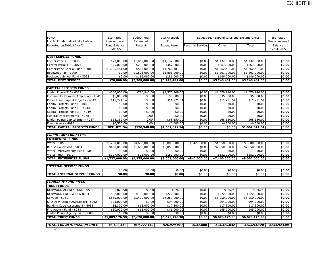| <b>FUND</b><br>Estimated<br><b>Budget Year</b><br><b>Total Available</b><br>Estimated<br>Budget Year Expenditures and Encumbrances<br>List All Funds Individually Unless<br>Unencumbered<br>Estimated<br>For<br>Unencumbered<br>Personal Services<br>Other<br>Reported on Exhibit I or II<br>Fund Balance<br>Receipt<br>Expenditures<br>Total<br><b>Balance</b><br>01/01/22<br>12/31/2022<br><b>DEBT SERVICE FUNDS</b><br>Cornerstone TIF - 3036<br>\$70,000.00<br>\$1,062,000.00<br>\$1,132,000.00<br>\$0.00<br>\$1,132,000.00<br>\$1,132,000.00<br>\$0.00<br>Central Parke TIF - 3074<br>\$75,000.00<br>\$292,000.00<br>\$367,000.00<br>\$0.00<br>\$367,000.00<br>\$367,000.00<br>\$0.00<br>\$567,000.00<br>Cornerstone Special Fund - 3086<br>\$1,195,481.00<br>\$1,762,481.00<br>\$0.00<br>\$1,762,481.00<br>\$1,762,481.00<br>\$0.00<br>\$1,801,000.00<br>\$1,801,000.00<br>\$0.00<br>\$1,801,000.00<br>\$0.00<br>Rookwood TIF - 3090<br>\$0.00<br>\$1,801,000.00<br>Rookwood School Fund - 3092<br>\$0.00<br>\$186,000.00<br>\$186,000.00<br>\$186,000.00<br>\$0.00<br>\$186,000.00<br>\$0.00<br><b>TOTAL DEBT SERVICE</b><br>\$70,000.00<br>\$3,908,000.00<br>\$5,248,481.00<br>\$0.00<br>\$5,248,481.00<br>\$5,248,481.00<br>\$0.00<br><b>CAPITAL PROJECTS FUNDS</b><br>\$770,940.00<br>inden Pointe TIF - 4037<br>\$800,000.00<br>\$1,570,940.00<br>\$0.00<br>\$1,570,940.00<br>\$1,570,940.00<br>\$0.00<br>Community Reinvest Area Fund - 4041<br>\$5,000.00<br>\$0.00<br>\$5,000.00<br>\$0.00<br>\$5,000.00<br>\$5,000.00<br>\$0.00<br>\$11,221.54<br>\$0.00<br>\$11,221.54<br>\$11,221.54<br>\$0.00<br>\$11,221.54<br>\$0.00<br>Parks & Rec Capital Projects - 4043<br>\$0.00<br>\$0.00<br>\$0.00<br>\$0.00<br>Capital Projects Fund I - 4046<br>\$0.00<br>\$0.00<br>\$0.00<br>\$0.00<br>\$0.00<br>\$0.00<br>\$0.00<br>\$0.00<br>\$0.00<br>\$0.00<br>Capital Projects Fund II - 4048<br>Capital Projects Fund III - 4049<br>\$0.00<br>\$0.00<br>\$0.00<br>\$0.00<br>\$0.00<br>\$0.00<br>\$0.00<br>\$0.00<br>\$0.00<br>\$0.00<br>\$0.00<br>0.00<br>\$0.00<br>\$0.00<br>General Improvements - 4068<br>inden Pointe Capital Impr - 4087<br>\$68,350.00<br>0.00<br>\$68,350.00<br>\$0.00<br>\$68,350.00<br>\$68,350.00<br>\$0.00<br>0.00<br>\$6,500.00<br>\$0.00<br>Fixed Assets - 4098<br>\$6,500.00<br>\$0.00<br>\$6,500.00<br>\$6,500.00<br><b>TOTAL CAPITAL PROJECTS FUNDS</b><br>\$770,940.00<br>\$891,071.54<br>\$1,662,011.54<br>\$0.00<br>\$1,662,011.54<br>\$0.00<br>\$0.00<br><b>PROPIETARY FUND TYPES</b><br><b>ENTERPRISE FUNDS</b><br>\$1,200,000.00<br>\$4,600,000.00<br>\$5,800,000.00<br>\$842,000.00<br>\$5,800,000.00<br>\$0.00<br>Water - 5050<br>\$4,958,000.00<br>Refuse Collections - 5051<br>\$400,000.00<br>\$1,650,000.00<br>\$2,050,000.00<br>\$0.00<br>\$2,050,000.00<br>\$2,050,000.00<br>\$0.00<br>Water Improvements Fund - 5052<br>\$0.00<br>\$0.00<br>\$0.00<br>\$0.00<br>\$0.00<br>\$0.00<br>\$0.00<br>\$127,000.00<br>\$25,000.00<br>\$152,000.00<br>\$0.00<br>\$152,000.00<br>\$152,000.00<br>Water Trust - 5072<br>\$0.00<br><b>TOTAL ENTERPRISE FUNDS</b><br>\$1,727,000.00<br>\$6,275,000.00<br>\$8,002,000.00<br>\$842,000.00<br>\$7,160,000.00<br>\$8,002,000.00<br>\$0.00<br><b>INTERNAL SERVICE FUNDS</b><br>\$0.00<br>\$0.00<br>\$0.00<br>\$0.00<br>\$0.00<br>\$0.00<br>\$0.00<br><b>TOTAL INTERNAL SERVICE FUNDS</b><br>\$0.00<br>\$0.00<br>\$0.00<br>\$0.00<br>\$0.00<br>\$0.00<br>\$0.00<br><b>FIDUCIARY FUND TYPES</b><br><b>TRUST FUNDS</b><br>NORWOOD AGENCY FUND-8053<br>\$876.98<br>\$0.00<br>\$876.98<br>\$0.00<br>\$876.98<br>\$876.98<br>\$0.00<br>NORWOOD ENERGY SPA-8054<br>\$32,000.00<br>\$190,000.00<br>\$222,000.00<br>\$0.00<br>\$222,000.00<br>\$222,000.00<br>\$0.00<br>\$5,400,000.00<br>\$850,000.00<br>\$6,250,000.00<br>\$0.00<br>\$6,250,000.00<br>\$6,250,000.00<br>\$0.00<br>Sewage - 8061<br>STORM WATER MANAGEMENT-8062<br>\$94,000.00<br>\$0.00<br>\$94,000.00<br>\$0.00<br>\$94,000.00<br>\$94,000.00<br>\$0.00<br>\$15,000.00<br>\$2,300.00<br>\$17,300.00<br>\$0.00<br>\$17,300.00<br>\$17,300.00<br>\$0.00<br>Building Code Assessment - 8081<br>\$30,000.00<br>\$15,000.00<br>\$45,000.00<br>\$0.00<br>\$45,000.00<br>\$45,000.00<br>\$0.00<br>Fire Agency Fund - 8088<br>\$0.00<br>\$0.00<br>Linden Pointe Agency Fund - 8099<br>\$0.00<br>\$0.00<br>\$0.00<br>\$0.00<br>\$0.00<br>\$1,009,176.98<br>\$5,620,000.00<br>\$6,629,176.98<br>\$6,629,176.98<br>\$6,629,176.98<br><b>TOTAL TRUST FUNDS</b><br>\$0.00<br>\$0.00<br><b>TOTAL FOR MEMORANDUM ONLY</b><br>\$6,436,417<br>\$19,222,145<br>\$26,929,043<br>\$842,000<br>\$24,425,032<br>\$26,694,120<br>\$234,923.00 |  |  |  |  | 8 |
|-------------------------------------------------------------------------------------------------------------------------------------------------------------------------------------------------------------------------------------------------------------------------------------------------------------------------------------------------------------------------------------------------------------------------------------------------------------------------------------------------------------------------------------------------------------------------------------------------------------------------------------------------------------------------------------------------------------------------------------------------------------------------------------------------------------------------------------------------------------------------------------------------------------------------------------------------------------------------------------------------------------------------------------------------------------------------------------------------------------------------------------------------------------------------------------------------------------------------------------------------------------------------------------------------------------------------------------------------------------------------------------------------------------------------------------------------------------------------------------------------------------------------------------------------------------------------------------------------------------------------------------------------------------------------------------------------------------------------------------------------------------------------------------------------------------------------------------------------------------------------------------------------------------------------------------------------------------------------------------------------------------------------------------------------------------------------------------------------------------------------------------------------------------------------------------------------------------------------------------------------------------------------------------------------------------------------------------------------------------------------------------------------------------------------------------------------------------------------------------------------------------------------------------------------------------------------------------------------------------------------------------------------------------------------------------------------------------------------------------------------------------------------------------------------------------------------------------------------------------------------------------------------------------------------------------------------------------------------------------------------------------------------------------------------------------------------------------------------------------------------------------------------------------------------------------------------------------------------------------------------------------------------------------------------------------------------------------------------------------------------------------------------------------------------------------------------------------------------------------------------------------------------------------------------------------------------------------------------------------------------------------------------------------------------------------------------------------------------------------------------------------------------------------------------------------------------------------------------------------------------------------------------------------------------------------------------------------------------------------------------------------------------------------------------------------------------------------------------------------------------------------------------------------------------------------------------------------------------------------------------------------------------------------------------------------------------------------------------------------------------------------------------------------------------------------------------------------------------------------------------------------------------------------------------------------------------------------------------------------------------------------------------------------------|--|--|--|--|---|
|                                                                                                                                                                                                                                                                                                                                                                                                                                                                                                                                                                                                                                                                                                                                                                                                                                                                                                                                                                                                                                                                                                                                                                                                                                                                                                                                                                                                                                                                                                                                                                                                                                                                                                                                                                                                                                                                                                                                                                                                                                                                                                                                                                                                                                                                                                                                                                                                                                                                                                                                                                                                                                                                                                                                                                                                                                                                                                                                                                                                                                                                                                                                                                                                                                                                                                                                                                                                                                                                                                                                                                                                                                                                                                                                                                                                                                                                                                                                                                                                                                                                                                                                                                                                                                                                                                                                                                                                                                                                                                                                                                                                                                                                   |  |  |  |  |   |
|                                                                                                                                                                                                                                                                                                                                                                                                                                                                                                                                                                                                                                                                                                                                                                                                                                                                                                                                                                                                                                                                                                                                                                                                                                                                                                                                                                                                                                                                                                                                                                                                                                                                                                                                                                                                                                                                                                                                                                                                                                                                                                                                                                                                                                                                                                                                                                                                                                                                                                                                                                                                                                                                                                                                                                                                                                                                                                                                                                                                                                                                                                                                                                                                                                                                                                                                                                                                                                                                                                                                                                                                                                                                                                                                                                                                                                                                                                                                                                                                                                                                                                                                                                                                                                                                                                                                                                                                                                                                                                                                                                                                                                                                   |  |  |  |  |   |
|                                                                                                                                                                                                                                                                                                                                                                                                                                                                                                                                                                                                                                                                                                                                                                                                                                                                                                                                                                                                                                                                                                                                                                                                                                                                                                                                                                                                                                                                                                                                                                                                                                                                                                                                                                                                                                                                                                                                                                                                                                                                                                                                                                                                                                                                                                                                                                                                                                                                                                                                                                                                                                                                                                                                                                                                                                                                                                                                                                                                                                                                                                                                                                                                                                                                                                                                                                                                                                                                                                                                                                                                                                                                                                                                                                                                                                                                                                                                                                                                                                                                                                                                                                                                                                                                                                                                                                                                                                                                                                                                                                                                                                                                   |  |  |  |  |   |
|                                                                                                                                                                                                                                                                                                                                                                                                                                                                                                                                                                                                                                                                                                                                                                                                                                                                                                                                                                                                                                                                                                                                                                                                                                                                                                                                                                                                                                                                                                                                                                                                                                                                                                                                                                                                                                                                                                                                                                                                                                                                                                                                                                                                                                                                                                                                                                                                                                                                                                                                                                                                                                                                                                                                                                                                                                                                                                                                                                                                                                                                                                                                                                                                                                                                                                                                                                                                                                                                                                                                                                                                                                                                                                                                                                                                                                                                                                                                                                                                                                                                                                                                                                                                                                                                                                                                                                                                                                                                                                                                                                                                                                                                   |  |  |  |  |   |
|                                                                                                                                                                                                                                                                                                                                                                                                                                                                                                                                                                                                                                                                                                                                                                                                                                                                                                                                                                                                                                                                                                                                                                                                                                                                                                                                                                                                                                                                                                                                                                                                                                                                                                                                                                                                                                                                                                                                                                                                                                                                                                                                                                                                                                                                                                                                                                                                                                                                                                                                                                                                                                                                                                                                                                                                                                                                                                                                                                                                                                                                                                                                                                                                                                                                                                                                                                                                                                                                                                                                                                                                                                                                                                                                                                                                                                                                                                                                                                                                                                                                                                                                                                                                                                                                                                                                                                                                                                                                                                                                                                                                                                                                   |  |  |  |  |   |
|                                                                                                                                                                                                                                                                                                                                                                                                                                                                                                                                                                                                                                                                                                                                                                                                                                                                                                                                                                                                                                                                                                                                                                                                                                                                                                                                                                                                                                                                                                                                                                                                                                                                                                                                                                                                                                                                                                                                                                                                                                                                                                                                                                                                                                                                                                                                                                                                                                                                                                                                                                                                                                                                                                                                                                                                                                                                                                                                                                                                                                                                                                                                                                                                                                                                                                                                                                                                                                                                                                                                                                                                                                                                                                                                                                                                                                                                                                                                                                                                                                                                                                                                                                                                                                                                                                                                                                                                                                                                                                                                                                                                                                                                   |  |  |  |  |   |
|                                                                                                                                                                                                                                                                                                                                                                                                                                                                                                                                                                                                                                                                                                                                                                                                                                                                                                                                                                                                                                                                                                                                                                                                                                                                                                                                                                                                                                                                                                                                                                                                                                                                                                                                                                                                                                                                                                                                                                                                                                                                                                                                                                                                                                                                                                                                                                                                                                                                                                                                                                                                                                                                                                                                                                                                                                                                                                                                                                                                                                                                                                                                                                                                                                                                                                                                                                                                                                                                                                                                                                                                                                                                                                                                                                                                                                                                                                                                                                                                                                                                                                                                                                                                                                                                                                                                                                                                                                                                                                                                                                                                                                                                   |  |  |  |  |   |
|                                                                                                                                                                                                                                                                                                                                                                                                                                                                                                                                                                                                                                                                                                                                                                                                                                                                                                                                                                                                                                                                                                                                                                                                                                                                                                                                                                                                                                                                                                                                                                                                                                                                                                                                                                                                                                                                                                                                                                                                                                                                                                                                                                                                                                                                                                                                                                                                                                                                                                                                                                                                                                                                                                                                                                                                                                                                                                                                                                                                                                                                                                                                                                                                                                                                                                                                                                                                                                                                                                                                                                                                                                                                                                                                                                                                                                                                                                                                                                                                                                                                                                                                                                                                                                                                                                                                                                                                                                                                                                                                                                                                                                                                   |  |  |  |  |   |
|                                                                                                                                                                                                                                                                                                                                                                                                                                                                                                                                                                                                                                                                                                                                                                                                                                                                                                                                                                                                                                                                                                                                                                                                                                                                                                                                                                                                                                                                                                                                                                                                                                                                                                                                                                                                                                                                                                                                                                                                                                                                                                                                                                                                                                                                                                                                                                                                                                                                                                                                                                                                                                                                                                                                                                                                                                                                                                                                                                                                                                                                                                                                                                                                                                                                                                                                                                                                                                                                                                                                                                                                                                                                                                                                                                                                                                                                                                                                                                                                                                                                                                                                                                                                                                                                                                                                                                                                                                                                                                                                                                                                                                                                   |  |  |  |  |   |
|                                                                                                                                                                                                                                                                                                                                                                                                                                                                                                                                                                                                                                                                                                                                                                                                                                                                                                                                                                                                                                                                                                                                                                                                                                                                                                                                                                                                                                                                                                                                                                                                                                                                                                                                                                                                                                                                                                                                                                                                                                                                                                                                                                                                                                                                                                                                                                                                                                                                                                                                                                                                                                                                                                                                                                                                                                                                                                                                                                                                                                                                                                                                                                                                                                                                                                                                                                                                                                                                                                                                                                                                                                                                                                                                                                                                                                                                                                                                                                                                                                                                                                                                                                                                                                                                                                                                                                                                                                                                                                                                                                                                                                                                   |  |  |  |  |   |
|                                                                                                                                                                                                                                                                                                                                                                                                                                                                                                                                                                                                                                                                                                                                                                                                                                                                                                                                                                                                                                                                                                                                                                                                                                                                                                                                                                                                                                                                                                                                                                                                                                                                                                                                                                                                                                                                                                                                                                                                                                                                                                                                                                                                                                                                                                                                                                                                                                                                                                                                                                                                                                                                                                                                                                                                                                                                                                                                                                                                                                                                                                                                                                                                                                                                                                                                                                                                                                                                                                                                                                                                                                                                                                                                                                                                                                                                                                                                                                                                                                                                                                                                                                                                                                                                                                                                                                                                                                                                                                                                                                                                                                                                   |  |  |  |  |   |
|                                                                                                                                                                                                                                                                                                                                                                                                                                                                                                                                                                                                                                                                                                                                                                                                                                                                                                                                                                                                                                                                                                                                                                                                                                                                                                                                                                                                                                                                                                                                                                                                                                                                                                                                                                                                                                                                                                                                                                                                                                                                                                                                                                                                                                                                                                                                                                                                                                                                                                                                                                                                                                                                                                                                                                                                                                                                                                                                                                                                                                                                                                                                                                                                                                                                                                                                                                                                                                                                                                                                                                                                                                                                                                                                                                                                                                                                                                                                                                                                                                                                                                                                                                                                                                                                                                                                                                                                                                                                                                                                                                                                                                                                   |  |  |  |  |   |
|                                                                                                                                                                                                                                                                                                                                                                                                                                                                                                                                                                                                                                                                                                                                                                                                                                                                                                                                                                                                                                                                                                                                                                                                                                                                                                                                                                                                                                                                                                                                                                                                                                                                                                                                                                                                                                                                                                                                                                                                                                                                                                                                                                                                                                                                                                                                                                                                                                                                                                                                                                                                                                                                                                                                                                                                                                                                                                                                                                                                                                                                                                                                                                                                                                                                                                                                                                                                                                                                                                                                                                                                                                                                                                                                                                                                                                                                                                                                                                                                                                                                                                                                                                                                                                                                                                                                                                                                                                                                                                                                                                                                                                                                   |  |  |  |  |   |
|                                                                                                                                                                                                                                                                                                                                                                                                                                                                                                                                                                                                                                                                                                                                                                                                                                                                                                                                                                                                                                                                                                                                                                                                                                                                                                                                                                                                                                                                                                                                                                                                                                                                                                                                                                                                                                                                                                                                                                                                                                                                                                                                                                                                                                                                                                                                                                                                                                                                                                                                                                                                                                                                                                                                                                                                                                                                                                                                                                                                                                                                                                                                                                                                                                                                                                                                                                                                                                                                                                                                                                                                                                                                                                                                                                                                                                                                                                                                                                                                                                                                                                                                                                                                                                                                                                                                                                                                                                                                                                                                                                                                                                                                   |  |  |  |  |   |
|                                                                                                                                                                                                                                                                                                                                                                                                                                                                                                                                                                                                                                                                                                                                                                                                                                                                                                                                                                                                                                                                                                                                                                                                                                                                                                                                                                                                                                                                                                                                                                                                                                                                                                                                                                                                                                                                                                                                                                                                                                                                                                                                                                                                                                                                                                                                                                                                                                                                                                                                                                                                                                                                                                                                                                                                                                                                                                                                                                                                                                                                                                                                                                                                                                                                                                                                                                                                                                                                                                                                                                                                                                                                                                                                                                                                                                                                                                                                                                                                                                                                                                                                                                                                                                                                                                                                                                                                                                                                                                                                                                                                                                                                   |  |  |  |  |   |
|                                                                                                                                                                                                                                                                                                                                                                                                                                                                                                                                                                                                                                                                                                                                                                                                                                                                                                                                                                                                                                                                                                                                                                                                                                                                                                                                                                                                                                                                                                                                                                                                                                                                                                                                                                                                                                                                                                                                                                                                                                                                                                                                                                                                                                                                                                                                                                                                                                                                                                                                                                                                                                                                                                                                                                                                                                                                                                                                                                                                                                                                                                                                                                                                                                                                                                                                                                                                                                                                                                                                                                                                                                                                                                                                                                                                                                                                                                                                                                                                                                                                                                                                                                                                                                                                                                                                                                                                                                                                                                                                                                                                                                                                   |  |  |  |  |   |
|                                                                                                                                                                                                                                                                                                                                                                                                                                                                                                                                                                                                                                                                                                                                                                                                                                                                                                                                                                                                                                                                                                                                                                                                                                                                                                                                                                                                                                                                                                                                                                                                                                                                                                                                                                                                                                                                                                                                                                                                                                                                                                                                                                                                                                                                                                                                                                                                                                                                                                                                                                                                                                                                                                                                                                                                                                                                                                                                                                                                                                                                                                                                                                                                                                                                                                                                                                                                                                                                                                                                                                                                                                                                                                                                                                                                                                                                                                                                                                                                                                                                                                                                                                                                                                                                                                                                                                                                                                                                                                                                                                                                                                                                   |  |  |  |  |   |
|                                                                                                                                                                                                                                                                                                                                                                                                                                                                                                                                                                                                                                                                                                                                                                                                                                                                                                                                                                                                                                                                                                                                                                                                                                                                                                                                                                                                                                                                                                                                                                                                                                                                                                                                                                                                                                                                                                                                                                                                                                                                                                                                                                                                                                                                                                                                                                                                                                                                                                                                                                                                                                                                                                                                                                                                                                                                                                                                                                                                                                                                                                                                                                                                                                                                                                                                                                                                                                                                                                                                                                                                                                                                                                                                                                                                                                                                                                                                                                                                                                                                                                                                                                                                                                                                                                                                                                                                                                                                                                                                                                                                                                                                   |  |  |  |  |   |
|                                                                                                                                                                                                                                                                                                                                                                                                                                                                                                                                                                                                                                                                                                                                                                                                                                                                                                                                                                                                                                                                                                                                                                                                                                                                                                                                                                                                                                                                                                                                                                                                                                                                                                                                                                                                                                                                                                                                                                                                                                                                                                                                                                                                                                                                                                                                                                                                                                                                                                                                                                                                                                                                                                                                                                                                                                                                                                                                                                                                                                                                                                                                                                                                                                                                                                                                                                                                                                                                                                                                                                                                                                                                                                                                                                                                                                                                                                                                                                                                                                                                                                                                                                                                                                                                                                                                                                                                                                                                                                                                                                                                                                                                   |  |  |  |  |   |
|                                                                                                                                                                                                                                                                                                                                                                                                                                                                                                                                                                                                                                                                                                                                                                                                                                                                                                                                                                                                                                                                                                                                                                                                                                                                                                                                                                                                                                                                                                                                                                                                                                                                                                                                                                                                                                                                                                                                                                                                                                                                                                                                                                                                                                                                                                                                                                                                                                                                                                                                                                                                                                                                                                                                                                                                                                                                                                                                                                                                                                                                                                                                                                                                                                                                                                                                                                                                                                                                                                                                                                                                                                                                                                                                                                                                                                                                                                                                                                                                                                                                                                                                                                                                                                                                                                                                                                                                                                                                                                                                                                                                                                                                   |  |  |  |  |   |
|                                                                                                                                                                                                                                                                                                                                                                                                                                                                                                                                                                                                                                                                                                                                                                                                                                                                                                                                                                                                                                                                                                                                                                                                                                                                                                                                                                                                                                                                                                                                                                                                                                                                                                                                                                                                                                                                                                                                                                                                                                                                                                                                                                                                                                                                                                                                                                                                                                                                                                                                                                                                                                                                                                                                                                                                                                                                                                                                                                                                                                                                                                                                                                                                                                                                                                                                                                                                                                                                                                                                                                                                                                                                                                                                                                                                                                                                                                                                                                                                                                                                                                                                                                                                                                                                                                                                                                                                                                                                                                                                                                                                                                                                   |  |  |  |  |   |
|                                                                                                                                                                                                                                                                                                                                                                                                                                                                                                                                                                                                                                                                                                                                                                                                                                                                                                                                                                                                                                                                                                                                                                                                                                                                                                                                                                                                                                                                                                                                                                                                                                                                                                                                                                                                                                                                                                                                                                                                                                                                                                                                                                                                                                                                                                                                                                                                                                                                                                                                                                                                                                                                                                                                                                                                                                                                                                                                                                                                                                                                                                                                                                                                                                                                                                                                                                                                                                                                                                                                                                                                                                                                                                                                                                                                                                                                                                                                                                                                                                                                                                                                                                                                                                                                                                                                                                                                                                                                                                                                                                                                                                                                   |  |  |  |  |   |
|                                                                                                                                                                                                                                                                                                                                                                                                                                                                                                                                                                                                                                                                                                                                                                                                                                                                                                                                                                                                                                                                                                                                                                                                                                                                                                                                                                                                                                                                                                                                                                                                                                                                                                                                                                                                                                                                                                                                                                                                                                                                                                                                                                                                                                                                                                                                                                                                                                                                                                                                                                                                                                                                                                                                                                                                                                                                                                                                                                                                                                                                                                                                                                                                                                                                                                                                                                                                                                                                                                                                                                                                                                                                                                                                                                                                                                                                                                                                                                                                                                                                                                                                                                                                                                                                                                                                                                                                                                                                                                                                                                                                                                                                   |  |  |  |  |   |
|                                                                                                                                                                                                                                                                                                                                                                                                                                                                                                                                                                                                                                                                                                                                                                                                                                                                                                                                                                                                                                                                                                                                                                                                                                                                                                                                                                                                                                                                                                                                                                                                                                                                                                                                                                                                                                                                                                                                                                                                                                                                                                                                                                                                                                                                                                                                                                                                                                                                                                                                                                                                                                                                                                                                                                                                                                                                                                                                                                                                                                                                                                                                                                                                                                                                                                                                                                                                                                                                                                                                                                                                                                                                                                                                                                                                                                                                                                                                                                                                                                                                                                                                                                                                                                                                                                                                                                                                                                                                                                                                                                                                                                                                   |  |  |  |  |   |
|                                                                                                                                                                                                                                                                                                                                                                                                                                                                                                                                                                                                                                                                                                                                                                                                                                                                                                                                                                                                                                                                                                                                                                                                                                                                                                                                                                                                                                                                                                                                                                                                                                                                                                                                                                                                                                                                                                                                                                                                                                                                                                                                                                                                                                                                                                                                                                                                                                                                                                                                                                                                                                                                                                                                                                                                                                                                                                                                                                                                                                                                                                                                                                                                                                                                                                                                                                                                                                                                                                                                                                                                                                                                                                                                                                                                                                                                                                                                                                                                                                                                                                                                                                                                                                                                                                                                                                                                                                                                                                                                                                                                                                                                   |  |  |  |  |   |
|                                                                                                                                                                                                                                                                                                                                                                                                                                                                                                                                                                                                                                                                                                                                                                                                                                                                                                                                                                                                                                                                                                                                                                                                                                                                                                                                                                                                                                                                                                                                                                                                                                                                                                                                                                                                                                                                                                                                                                                                                                                                                                                                                                                                                                                                                                                                                                                                                                                                                                                                                                                                                                                                                                                                                                                                                                                                                                                                                                                                                                                                                                                                                                                                                                                                                                                                                                                                                                                                                                                                                                                                                                                                                                                                                                                                                                                                                                                                                                                                                                                                                                                                                                                                                                                                                                                                                                                                                                                                                                                                                                                                                                                                   |  |  |  |  |   |
|                                                                                                                                                                                                                                                                                                                                                                                                                                                                                                                                                                                                                                                                                                                                                                                                                                                                                                                                                                                                                                                                                                                                                                                                                                                                                                                                                                                                                                                                                                                                                                                                                                                                                                                                                                                                                                                                                                                                                                                                                                                                                                                                                                                                                                                                                                                                                                                                                                                                                                                                                                                                                                                                                                                                                                                                                                                                                                                                                                                                                                                                                                                                                                                                                                                                                                                                                                                                                                                                                                                                                                                                                                                                                                                                                                                                                                                                                                                                                                                                                                                                                                                                                                                                                                                                                                                                                                                                                                                                                                                                                                                                                                                                   |  |  |  |  |   |
|                                                                                                                                                                                                                                                                                                                                                                                                                                                                                                                                                                                                                                                                                                                                                                                                                                                                                                                                                                                                                                                                                                                                                                                                                                                                                                                                                                                                                                                                                                                                                                                                                                                                                                                                                                                                                                                                                                                                                                                                                                                                                                                                                                                                                                                                                                                                                                                                                                                                                                                                                                                                                                                                                                                                                                                                                                                                                                                                                                                                                                                                                                                                                                                                                                                                                                                                                                                                                                                                                                                                                                                                                                                                                                                                                                                                                                                                                                                                                                                                                                                                                                                                                                                                                                                                                                                                                                                                                                                                                                                                                                                                                                                                   |  |  |  |  |   |
|                                                                                                                                                                                                                                                                                                                                                                                                                                                                                                                                                                                                                                                                                                                                                                                                                                                                                                                                                                                                                                                                                                                                                                                                                                                                                                                                                                                                                                                                                                                                                                                                                                                                                                                                                                                                                                                                                                                                                                                                                                                                                                                                                                                                                                                                                                                                                                                                                                                                                                                                                                                                                                                                                                                                                                                                                                                                                                                                                                                                                                                                                                                                                                                                                                                                                                                                                                                                                                                                                                                                                                                                                                                                                                                                                                                                                                                                                                                                                                                                                                                                                                                                                                                                                                                                                                                                                                                                                                                                                                                                                                                                                                                                   |  |  |  |  |   |
|                                                                                                                                                                                                                                                                                                                                                                                                                                                                                                                                                                                                                                                                                                                                                                                                                                                                                                                                                                                                                                                                                                                                                                                                                                                                                                                                                                                                                                                                                                                                                                                                                                                                                                                                                                                                                                                                                                                                                                                                                                                                                                                                                                                                                                                                                                                                                                                                                                                                                                                                                                                                                                                                                                                                                                                                                                                                                                                                                                                                                                                                                                                                                                                                                                                                                                                                                                                                                                                                                                                                                                                                                                                                                                                                                                                                                                                                                                                                                                                                                                                                                                                                                                                                                                                                                                                                                                                                                                                                                                                                                                                                                                                                   |  |  |  |  |   |
|                                                                                                                                                                                                                                                                                                                                                                                                                                                                                                                                                                                                                                                                                                                                                                                                                                                                                                                                                                                                                                                                                                                                                                                                                                                                                                                                                                                                                                                                                                                                                                                                                                                                                                                                                                                                                                                                                                                                                                                                                                                                                                                                                                                                                                                                                                                                                                                                                                                                                                                                                                                                                                                                                                                                                                                                                                                                                                                                                                                                                                                                                                                                                                                                                                                                                                                                                                                                                                                                                                                                                                                                                                                                                                                                                                                                                                                                                                                                                                                                                                                                                                                                                                                                                                                                                                                                                                                                                                                                                                                                                                                                                                                                   |  |  |  |  |   |
|                                                                                                                                                                                                                                                                                                                                                                                                                                                                                                                                                                                                                                                                                                                                                                                                                                                                                                                                                                                                                                                                                                                                                                                                                                                                                                                                                                                                                                                                                                                                                                                                                                                                                                                                                                                                                                                                                                                                                                                                                                                                                                                                                                                                                                                                                                                                                                                                                                                                                                                                                                                                                                                                                                                                                                                                                                                                                                                                                                                                                                                                                                                                                                                                                                                                                                                                                                                                                                                                                                                                                                                                                                                                                                                                                                                                                                                                                                                                                                                                                                                                                                                                                                                                                                                                                                                                                                                                                                                                                                                                                                                                                                                                   |  |  |  |  |   |
|                                                                                                                                                                                                                                                                                                                                                                                                                                                                                                                                                                                                                                                                                                                                                                                                                                                                                                                                                                                                                                                                                                                                                                                                                                                                                                                                                                                                                                                                                                                                                                                                                                                                                                                                                                                                                                                                                                                                                                                                                                                                                                                                                                                                                                                                                                                                                                                                                                                                                                                                                                                                                                                                                                                                                                                                                                                                                                                                                                                                                                                                                                                                                                                                                                                                                                                                                                                                                                                                                                                                                                                                                                                                                                                                                                                                                                                                                                                                                                                                                                                                                                                                                                                                                                                                                                                                                                                                                                                                                                                                                                                                                                                                   |  |  |  |  |   |
|                                                                                                                                                                                                                                                                                                                                                                                                                                                                                                                                                                                                                                                                                                                                                                                                                                                                                                                                                                                                                                                                                                                                                                                                                                                                                                                                                                                                                                                                                                                                                                                                                                                                                                                                                                                                                                                                                                                                                                                                                                                                                                                                                                                                                                                                                                                                                                                                                                                                                                                                                                                                                                                                                                                                                                                                                                                                                                                                                                                                                                                                                                                                                                                                                                                                                                                                                                                                                                                                                                                                                                                                                                                                                                                                                                                                                                                                                                                                                                                                                                                                                                                                                                                                                                                                                                                                                                                                                                                                                                                                                                                                                                                                   |  |  |  |  |   |
|                                                                                                                                                                                                                                                                                                                                                                                                                                                                                                                                                                                                                                                                                                                                                                                                                                                                                                                                                                                                                                                                                                                                                                                                                                                                                                                                                                                                                                                                                                                                                                                                                                                                                                                                                                                                                                                                                                                                                                                                                                                                                                                                                                                                                                                                                                                                                                                                                                                                                                                                                                                                                                                                                                                                                                                                                                                                                                                                                                                                                                                                                                                                                                                                                                                                                                                                                                                                                                                                                                                                                                                                                                                                                                                                                                                                                                                                                                                                                                                                                                                                                                                                                                                                                                                                                                                                                                                                                                                                                                                                                                                                                                                                   |  |  |  |  |   |
|                                                                                                                                                                                                                                                                                                                                                                                                                                                                                                                                                                                                                                                                                                                                                                                                                                                                                                                                                                                                                                                                                                                                                                                                                                                                                                                                                                                                                                                                                                                                                                                                                                                                                                                                                                                                                                                                                                                                                                                                                                                                                                                                                                                                                                                                                                                                                                                                                                                                                                                                                                                                                                                                                                                                                                                                                                                                                                                                                                                                                                                                                                                                                                                                                                                                                                                                                                                                                                                                                                                                                                                                                                                                                                                                                                                                                                                                                                                                                                                                                                                                                                                                                                                                                                                                                                                                                                                                                                                                                                                                                                                                                                                                   |  |  |  |  |   |
|                                                                                                                                                                                                                                                                                                                                                                                                                                                                                                                                                                                                                                                                                                                                                                                                                                                                                                                                                                                                                                                                                                                                                                                                                                                                                                                                                                                                                                                                                                                                                                                                                                                                                                                                                                                                                                                                                                                                                                                                                                                                                                                                                                                                                                                                                                                                                                                                                                                                                                                                                                                                                                                                                                                                                                                                                                                                                                                                                                                                                                                                                                                                                                                                                                                                                                                                                                                                                                                                                                                                                                                                                                                                                                                                                                                                                                                                                                                                                                                                                                                                                                                                                                                                                                                                                                                                                                                                                                                                                                                                                                                                                                                                   |  |  |  |  |   |
|                                                                                                                                                                                                                                                                                                                                                                                                                                                                                                                                                                                                                                                                                                                                                                                                                                                                                                                                                                                                                                                                                                                                                                                                                                                                                                                                                                                                                                                                                                                                                                                                                                                                                                                                                                                                                                                                                                                                                                                                                                                                                                                                                                                                                                                                                                                                                                                                                                                                                                                                                                                                                                                                                                                                                                                                                                                                                                                                                                                                                                                                                                                                                                                                                                                                                                                                                                                                                                                                                                                                                                                                                                                                                                                                                                                                                                                                                                                                                                                                                                                                                                                                                                                                                                                                                                                                                                                                                                                                                                                                                                                                                                                                   |  |  |  |  |   |
|                                                                                                                                                                                                                                                                                                                                                                                                                                                                                                                                                                                                                                                                                                                                                                                                                                                                                                                                                                                                                                                                                                                                                                                                                                                                                                                                                                                                                                                                                                                                                                                                                                                                                                                                                                                                                                                                                                                                                                                                                                                                                                                                                                                                                                                                                                                                                                                                                                                                                                                                                                                                                                                                                                                                                                                                                                                                                                                                                                                                                                                                                                                                                                                                                                                                                                                                                                                                                                                                                                                                                                                                                                                                                                                                                                                                                                                                                                                                                                                                                                                                                                                                                                                                                                                                                                                                                                                                                                                                                                                                                                                                                                                                   |  |  |  |  |   |
|                                                                                                                                                                                                                                                                                                                                                                                                                                                                                                                                                                                                                                                                                                                                                                                                                                                                                                                                                                                                                                                                                                                                                                                                                                                                                                                                                                                                                                                                                                                                                                                                                                                                                                                                                                                                                                                                                                                                                                                                                                                                                                                                                                                                                                                                                                                                                                                                                                                                                                                                                                                                                                                                                                                                                                                                                                                                                                                                                                                                                                                                                                                                                                                                                                                                                                                                                                                                                                                                                                                                                                                                                                                                                                                                                                                                                                                                                                                                                                                                                                                                                                                                                                                                                                                                                                                                                                                                                                                                                                                                                                                                                                                                   |  |  |  |  |   |
|                                                                                                                                                                                                                                                                                                                                                                                                                                                                                                                                                                                                                                                                                                                                                                                                                                                                                                                                                                                                                                                                                                                                                                                                                                                                                                                                                                                                                                                                                                                                                                                                                                                                                                                                                                                                                                                                                                                                                                                                                                                                                                                                                                                                                                                                                                                                                                                                                                                                                                                                                                                                                                                                                                                                                                                                                                                                                                                                                                                                                                                                                                                                                                                                                                                                                                                                                                                                                                                                                                                                                                                                                                                                                                                                                                                                                                                                                                                                                                                                                                                                                                                                                                                                                                                                                                                                                                                                                                                                                                                                                                                                                                                                   |  |  |  |  |   |
|                                                                                                                                                                                                                                                                                                                                                                                                                                                                                                                                                                                                                                                                                                                                                                                                                                                                                                                                                                                                                                                                                                                                                                                                                                                                                                                                                                                                                                                                                                                                                                                                                                                                                                                                                                                                                                                                                                                                                                                                                                                                                                                                                                                                                                                                                                                                                                                                                                                                                                                                                                                                                                                                                                                                                                                                                                                                                                                                                                                                                                                                                                                                                                                                                                                                                                                                                                                                                                                                                                                                                                                                                                                                                                                                                                                                                                                                                                                                                                                                                                                                                                                                                                                                                                                                                                                                                                                                                                                                                                                                                                                                                                                                   |  |  |  |  |   |
|                                                                                                                                                                                                                                                                                                                                                                                                                                                                                                                                                                                                                                                                                                                                                                                                                                                                                                                                                                                                                                                                                                                                                                                                                                                                                                                                                                                                                                                                                                                                                                                                                                                                                                                                                                                                                                                                                                                                                                                                                                                                                                                                                                                                                                                                                                                                                                                                                                                                                                                                                                                                                                                                                                                                                                                                                                                                                                                                                                                                                                                                                                                                                                                                                                                                                                                                                                                                                                                                                                                                                                                                                                                                                                                                                                                                                                                                                                                                                                                                                                                                                                                                                                                                                                                                                                                                                                                                                                                                                                                                                                                                                                                                   |  |  |  |  |   |
|                                                                                                                                                                                                                                                                                                                                                                                                                                                                                                                                                                                                                                                                                                                                                                                                                                                                                                                                                                                                                                                                                                                                                                                                                                                                                                                                                                                                                                                                                                                                                                                                                                                                                                                                                                                                                                                                                                                                                                                                                                                                                                                                                                                                                                                                                                                                                                                                                                                                                                                                                                                                                                                                                                                                                                                                                                                                                                                                                                                                                                                                                                                                                                                                                                                                                                                                                                                                                                                                                                                                                                                                                                                                                                                                                                                                                                                                                                                                                                                                                                                                                                                                                                                                                                                                                                                                                                                                                                                                                                                                                                                                                                                                   |  |  |  |  |   |
|                                                                                                                                                                                                                                                                                                                                                                                                                                                                                                                                                                                                                                                                                                                                                                                                                                                                                                                                                                                                                                                                                                                                                                                                                                                                                                                                                                                                                                                                                                                                                                                                                                                                                                                                                                                                                                                                                                                                                                                                                                                                                                                                                                                                                                                                                                                                                                                                                                                                                                                                                                                                                                                                                                                                                                                                                                                                                                                                                                                                                                                                                                                                                                                                                                                                                                                                                                                                                                                                                                                                                                                                                                                                                                                                                                                                                                                                                                                                                                                                                                                                                                                                                                                                                                                                                                                                                                                                                                                                                                                                                                                                                                                                   |  |  |  |  |   |
|                                                                                                                                                                                                                                                                                                                                                                                                                                                                                                                                                                                                                                                                                                                                                                                                                                                                                                                                                                                                                                                                                                                                                                                                                                                                                                                                                                                                                                                                                                                                                                                                                                                                                                                                                                                                                                                                                                                                                                                                                                                                                                                                                                                                                                                                                                                                                                                                                                                                                                                                                                                                                                                                                                                                                                                                                                                                                                                                                                                                                                                                                                                                                                                                                                                                                                                                                                                                                                                                                                                                                                                                                                                                                                                                                                                                                                                                                                                                                                                                                                                                                                                                                                                                                                                                                                                                                                                                                                                                                                                                                                                                                                                                   |  |  |  |  |   |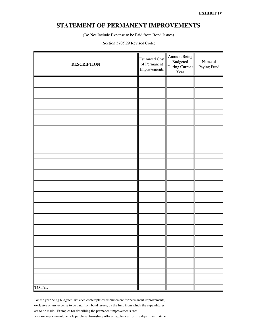#### **STATEMENT OF PERMANENT IMPROVEMENTS**

(Do Not Include Expense to be Paid from Bond Issues)

#### (Section 5705.29 Revised Code)

| <b>DESCRIPTION</b> | Estimated Cost<br>of Permanent<br>Improvements | Amount Being<br>Budgeted<br>During Current<br>Year | Name of<br>Paying Fund |
|--------------------|------------------------------------------------|----------------------------------------------------|------------------------|
|                    |                                                |                                                    |                        |
|                    |                                                |                                                    |                        |
|                    |                                                |                                                    |                        |
|                    |                                                |                                                    |                        |
|                    |                                                |                                                    |                        |
|                    |                                                |                                                    |                        |
|                    |                                                |                                                    |                        |
|                    |                                                |                                                    |                        |
|                    |                                                |                                                    |                        |
|                    |                                                |                                                    |                        |
|                    |                                                |                                                    |                        |
|                    |                                                |                                                    |                        |
|                    |                                                |                                                    |                        |
|                    |                                                |                                                    |                        |
|                    |                                                |                                                    |                        |
|                    |                                                |                                                    |                        |
|                    |                                                |                                                    |                        |
|                    |                                                |                                                    |                        |
|                    |                                                |                                                    |                        |
|                    |                                                |                                                    |                        |
|                    |                                                |                                                    |                        |
|                    |                                                |                                                    |                        |
|                    |                                                |                                                    |                        |
|                    |                                                |                                                    |                        |
|                    |                                                |                                                    |                        |
|                    |                                                |                                                    |                        |
|                    |                                                |                                                    |                        |
|                    |                                                |                                                    |                        |
|                    |                                                |                                                    |                        |
|                    |                                                |                                                    |                        |
|                    |                                                |                                                    |                        |
|                    |                                                |                                                    |                        |
|                    |                                                |                                                    |                        |
|                    |                                                |                                                    |                        |
| <b>TOTAL</b>       |                                                |                                                    |                        |

For the year being budgeted, list each contemplated disbursement for permanent improvements,

exclusive of any expense to be paid from bond issues, by the fund from which the expenditures

are to be made. Examples for describing the permanent improvements are:

window replacement, vehicle purchase, furnishing offices, appliances for fire department kitchen.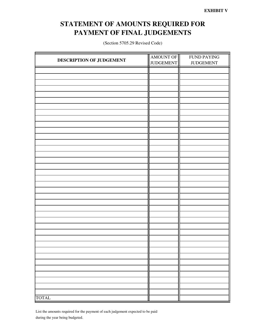## **STATEMENT OF AMOUNTS REQUIRED FOR PAYMENT OF FINAL JUDGEMENTS**

(Section 5705.29 Revised Code)

|                          | AMOUNT OF        | <b>FUND PAYING</b> |  |  |
|--------------------------|------------------|--------------------|--|--|
| DESCRIPTION OF JUDGEMENT | <b>JUDGEMENT</b> | <b>JUDGEMENT</b>   |  |  |
|                          |                  |                    |  |  |
|                          |                  |                    |  |  |
|                          |                  |                    |  |  |
|                          |                  |                    |  |  |
|                          |                  |                    |  |  |
|                          |                  |                    |  |  |
|                          |                  |                    |  |  |
|                          |                  |                    |  |  |
|                          |                  |                    |  |  |
|                          |                  |                    |  |  |
|                          |                  |                    |  |  |
|                          |                  |                    |  |  |
|                          |                  |                    |  |  |
|                          |                  |                    |  |  |
|                          |                  |                    |  |  |
|                          |                  |                    |  |  |
|                          |                  |                    |  |  |
|                          |                  |                    |  |  |
|                          |                  |                    |  |  |
|                          |                  |                    |  |  |
|                          |                  |                    |  |  |
|                          |                  |                    |  |  |
|                          |                  |                    |  |  |
|                          |                  |                    |  |  |
|                          |                  |                    |  |  |
|                          |                  |                    |  |  |
|                          |                  |                    |  |  |
|                          |                  |                    |  |  |
|                          |                  |                    |  |  |
|                          |                  |                    |  |  |
|                          |                  |                    |  |  |
|                          |                  |                    |  |  |
|                          |                  |                    |  |  |
|                          |                  |                    |  |  |
|                          |                  |                    |  |  |
|                          |                  |                    |  |  |
|                          |                  |                    |  |  |
| <b>TOTAL</b>             |                  |                    |  |  |

List the amounts required for the payment of each judgement expected to be paid during the year being budgeted.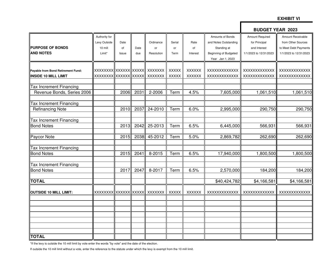#### **EXHIBIT VI**

|                                    |                         |       |      |                |              |               |                       | <b>BUDGET YEAR 2023</b> |                        |
|------------------------------------|-------------------------|-------|------|----------------|--------------|---------------|-----------------------|-------------------------|------------------------|
|                                    | Authority for           |       |      |                |              |               | Amounts of Bonds      | Amount Required         | Amount Receivable      |
|                                    | Levy Outside            | Date  |      | Ordinance      | Serial       | Rate          | and Notes Outstanding | for Principal           | from Other Sources     |
| <b>PURPOSE OF BONDS</b>            | 10 mill                 | of    | Date | or             | or           | of            | Standing at           | and Interest            | to Meet Debt Payments  |
| <b>AND NOTES</b>                   | Limit*                  | Issue | due  | Resolution     | Term         | Interest      | Beginning of Budgeted | 1/1/2023 to 12/31/2023  | 1/1/2023 to 12/31/2023 |
|                                    |                         |       |      |                |              |               | Year Jan 1, 2023      |                         |                        |
| Payable from Bond Retirement Fund: | XXXXXXXX XXXXXXX XXXXX  |       |      | XXXXXXX        | <b>XXXXX</b> | <b>XXXXXX</b> | XXXXXXXXXXXX          | XXXXXXXXXXXX            | <b>XXXXXXXXXXXXX</b>   |
| <b>INSIDE 10 MILL LIMIT</b>        | XXXXXXXX  XXXXXX  XXXXX |       |      | XXXXXXX        | <b>XXXXX</b> | <b>XXXXXX</b> | XXXXXXXXXXXX          | XXXXXXXXXXXX            | XXXXXXXXXXXX           |
|                                    |                         |       |      |                |              |               |                       |                         |                        |
| <b>Tax Increment Financing</b>     |                         |       |      |                |              |               |                       |                         |                        |
| Revenue Bonds, Series 2006         |                         | 2006  | 2031 | 2-2006         | Term         | 4.5%          | 7,605,000             | 1,061,510               | 1,061,510              |
| <b>Tax Increment Financing</b>     |                         |       |      |                |              |               |                       |                         |                        |
| <b>Refinancing Note</b>            |                         | 2010  | 2037 | 24-2010        | Term         | 6.0%          | 2,995,000             | 290,750                 | 290,750                |
|                                    |                         |       |      |                |              |               |                       |                         |                        |
| <b>Tax Increment Financing</b>     |                         |       |      |                |              |               |                       |                         |                        |
| <b>Bond Notes</b>                  |                         | 2013  | 2042 | 25-2013        | Term         | 6.5%          | 6,445,000             | 566,931                 | 566,931                |
| Paycor Note                        |                         | 2015  | 2038 | 45-2012        | Term         | 5.0%          | 2,869,782             | 262,690                 | 262,690                |
| <b>Tax Increment Financing</b>     |                         |       |      |                |              |               |                       |                         |                        |
| <b>Bond Notes</b>                  |                         | 2015  | 2041 | 8-2015         | Term         | 6.5%          | 17,940,000            | 1,800,500               | 1,800,500              |
| <b>Tax Increment Financing</b>     |                         |       |      |                |              |               |                       |                         |                        |
| <b>Bond Notes</b>                  |                         | 2017  | 2047 | 8-2017         | Term         | 6.5%          | 2,570,000             | 184,200                 | 184,200                |
| <b>TOTAL</b>                       |                         |       |      |                |              |               | \$40,424,782          | \$4,166,581             | \$4,166,581            |
| <b>OUTSIDE 10 MILL LIMIT:</b>      | XXXXXXXX  XXXXXX XXXXX  |       |      | <b>XXXXXXX</b> | <b>XXXXX</b> | <b>XXXXXX</b> | XXXXXXXXXXXX          | XXXXXXXXXXXX            | <b>XXXXXXXXXXXXX</b>   |
|                                    |                         |       |      |                |              |               |                       |                         |                        |
|                                    |                         |       |      |                |              |               |                       |                         |                        |
|                                    |                         |       |      |                |              |               |                       |                         |                        |
|                                    |                         |       |      |                |              |               |                       |                         |                        |
|                                    |                         |       |      |                |              |               |                       |                         |                        |
| <b>TOTAL</b>                       |                         |       |      |                |              |               |                       |                         |                        |
|                                    |                         |       |      |                |              |               |                       |                         |                        |

\*If the levy is outside the 10 mill limit by vote enter the words "by vote" and the date of the election.

If outside the 10 mill limit without a vote, enter the reference to the statute under which the levy is exempt from the 10 mill limit.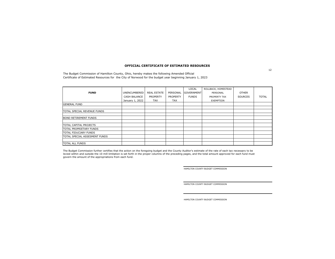#### **OFFICIAL CERTIFICATE OF ESTIMATED RESOURCES**

The Budget Commission of Hamilton County, Ohio, hereby makes the following Amended Official Certificate of Estimated Resources for the City of Norwood for the budget year beginning January 1, 2023

|                               |                 |                    |            | LOCAL             | ROLLBACK, HOMESTEAD |                |              |
|-------------------------------|-----------------|--------------------|------------|-------------------|---------------------|----------------|--------------|
| <b>FUND</b>                   | UNENCUMBERED    | <b>REAL ESTATE</b> | PERSONAL   | <b>GOVERNMENT</b> | PERSONAL            | <b>OTHER</b>   |              |
|                               | CASH BALANCE    | PROPERTY           | PROPERTY   | <b>FUNDS</b>      | PROPERTY TAX        | <b>SOURCES</b> | <b>TOTAL</b> |
|                               | January 1, 2022 | <b>TAX</b>         | <b>TAX</b> |                   | EXEMPTION           |                |              |
| <b>GENERAL FUND</b>           |                 |                    |            |                   |                     |                |              |
|                               |                 |                    |            |                   |                     |                |              |
| TOTAL SPECIAL REVENUE FUNDS   |                 |                    |            |                   |                     |                |              |
|                               |                 |                    |            |                   |                     |                |              |
| <b>BOND RETIREMENT FUNDS</b>  |                 |                    |            |                   |                     |                |              |
|                               |                 |                    |            |                   |                     |                |              |
| TOTAL CAPITAL PROJECTS        |                 |                    |            |                   |                     |                |              |
| TOTAL PROPRIETARY FUNDS       |                 |                    |            |                   |                     |                |              |
| TOTAL FIDUCIARY FUNDS         |                 |                    |            |                   |                     |                |              |
| TOTAL SPECIAL ASSESMENT FUNDS |                 |                    |            |                   |                     |                |              |
|                               |                 |                    |            |                   |                     |                |              |
| <b>TOTAL ALL FUNDS</b>        |                 |                    |            |                   |                     |                |              |

The Budget Commission further certifies that the action on the foregoing budget and the County Auditor's estimate of the rate of each tax necessary to be levied within and outside the 10 mill limitation is set forth in the proper columns of the preceding pages, and the total amount approved for each fund mustgovern the amount of the appropriations from each fund.

HAMILTON COUNTY BUDGET COMMISSION

HAMILTON COUNTY BUDGET COMMISSION

HAMILTON COUNTY BUDGET COMMISSION

12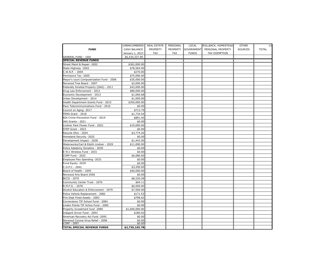|                                           | UNENCUMBERED    | <b>REAL ESTATE</b> | PERSONAL        | LOCAL        | ROLLBACK, HOMESTEAD | <b>OTHER</b>   | 13           |
|-------------------------------------------|-----------------|--------------------|-----------------|--------------|---------------------|----------------|--------------|
| <b>FUND</b>                               | CASH BALANCE    | <b>PROPERTY</b>    | <b>PROPERTY</b> | GOVERNMENT   | PERSONAL PROPERTY   | <b>SOURCES</b> | <b>TOTAL</b> |
|                                           | January 1, 2023 | TAX                | <b>TAX</b>      | <b>FUNDS</b> | TAX EXEMPTION       |                |              |
| GENERAL FUND - 1001                       | \$6,434,337.90  |                    |                 |              |                     |                |              |
| <b>SPECIAL REVENUE FUNDS</b>              |                 |                    |                 |              |                     |                |              |
| Street Maint & Repair -2002               | \$362,000.00    |                    |                 |              |                     |                |              |
| State Highway -2003                       | \$78,564.00     |                    |                 |              |                     |                |              |
| C.W.N.P. - 2004                           | \$270.00        |                    |                 |              |                     |                |              |
| Permissive Tax -2005                      | \$75,000.00     |                    |                 |              |                     |                |              |
| Mayor's court Computerization Fund - 2006 | \$35,000.00     |                    |                 |              |                     |                |              |
| Norwood Tree Board - 2007                 | \$2,000.00      |                    |                 |              |                     |                |              |
| Federally foreited Property (DAG) - 2011  | \$43,000.00     |                    |                 |              |                     |                |              |
| Drug Law Enforcement - 2012               | \$80,000.00     |                    |                 |              |                     |                |              |
| Economic Development - 2013               | \$1,060.68      |                    |                 |              |                     |                |              |
| Urban Development - 2014                  | \$1,000.00      |                    |                 |              |                     |                |              |
| Health Department Grants Fund - 2015      | \$350,000.00    |                    |                 |              |                     |                |              |
| Pace Telecommunications Fund - 2016       | \$0.00          |                    |                 |              |                     |                |              |
| Council on Aging -2017                    | \$712.79        |                    |                 |              |                     |                |              |
| FEMA Grant - 2018                         | \$1,734.54      |                    |                 |              |                     |                |              |
| BJA Crime Prevention Fund - 2019          | \$891.45        |                    |                 |              |                     |                |              |
| JAG Grants - 2021                         | \$0.00          |                    |                 |              |                     |                |              |
| Lindner Park Flower Fund - 2022           | \$19,000.00     |                    |                 |              |                     |                |              |
| STEP Grant - 2023                         | \$0.00          |                    |                 |              |                     |                |              |
| Recycle Ohio - 2024                       | \$3,774.26      |                    |                 |              |                     |                |              |
| Homeland Security -2025                   | \$0.00          |                    |                 |              |                     |                |              |
| Development Impact - 2028                 | \$1,443.50      |                    |                 |              |                     |                |              |
| Waterworks/Carl & Edyth Lindner - 2029    | \$11,000.00     |                    |                 |              |                     |                |              |
| Police Adademy Donatins - 2030            | \$0.00          |                    |                 |              |                     |                |              |
| E 911 Wireless Fund - 2031                | \$0.00          |                    |                 |              |                     |                |              |
| COPP Fund - 2032                          | \$6,080.00      |                    |                 |              |                     |                |              |
| Employee Flex Spending -2033              | \$0.00          |                    |                 |              |                     |                |              |
| Fund Equity -2039                         | \$0.00          |                    |                 |              |                     |                |              |
| $C.0.P.C - 2042$                          | \$3,200.00      |                    |                 |              |                     |                |              |
| Board of Health - 2055                    | \$40,000.00     |                    |                 |              |                     |                |              |
| Norwood Arts Board-2056                   | \$0.00          |                    |                 |              |                     |                |              |
| <b>BCCS - 2070</b>                        | \$8,220.28      |                    |                 |              |                     |                |              |
| Community Center Trust - 2076             | \$64.11         |                    |                 |              |                     |                |              |
| R.M.F.G. - 2078                           | \$6,500.00      |                    |                 |              |                     |                |              |
| Alcohol Education & Enforcement - 2079    | \$7,500.00      |                    |                 |              |                     |                |              |
| Police Vehicle Replacement - 2082         | \$171.53        |                    |                 |              |                     |                |              |
| Fire Dept Fixed Assets - 2083             | \$798.62        |                    |                 |              |                     |                |              |
| Cornerstone TIF School Fund - 2084        | \$0.00          |                    |                 |              |                     |                |              |
| Linden Pointe TIF Schoo Fund - 2085       | \$0.00          |                    |                 |              |                     |                |              |
| Property Investment fund -2089            | \$1,600,000.00  |                    |                 |              |                     |                |              |
| Indigent Driver Fund - 2093               | \$180.02        |                    |                 |              |                     |                |              |
| American Recvoery Act Fund -2095          | \$0.00          |                    |                 |              |                     |                |              |
| Norwood Corona Virus Relief - 2096        | \$0.00          |                    |                 |              |                     |                |              |
| CORF - 2097                               | \$0.00          |                    |                 |              |                     |                |              |
| TOTAL SPECIAL REVENUE FUNDS               | \$2,739,165.78  |                    |                 |              |                     |                |              |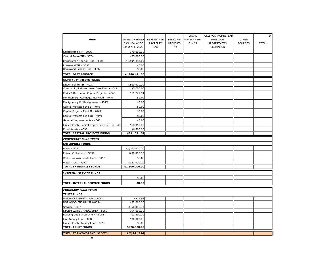|                                               |                             |                    |                 | LOCAL             | ROLLBACK, HOMESTEAD |              | 14           |
|-----------------------------------------------|-----------------------------|--------------------|-----------------|-------------------|---------------------|--------------|--------------|
| <b>FUND</b>                                   | UNENCUMBERED                | <b>REAL ESTATE</b> | PERSONAL        | <b>GOVERNMENT</b> | PERSONAL            | <b>OTHER</b> |              |
|                                               | CASH BALANCE                | PROPERTY           | <b>PROPERTY</b> | <b>FUNDS</b>      | PROPERTY TAX        | SOURCES      | <b>TOTAL</b> |
|                                               | January 1, 2023             | <b>TAX</b>         | <b>TAX</b>      |                   | EXEMPTION           |              |              |
| Cornerstone TIF - 3036                        | \$70,000.00                 |                    |                 |                   |                     |              |              |
| Central Parke TIF - 3074                      | \$75,000.00                 |                    |                 |                   |                     |              |              |
| Cornerstone Special Fund - 3086               | \$1,195,481.00              |                    |                 |                   |                     |              |              |
| Rookwood TIF - 3090                           | \$0.00                      |                    |                 |                   |                     |              |              |
| Rookwood School Fund - 3092                   | \$0.00                      |                    |                 |                   |                     |              |              |
| <b>TOTAL DEBT SERVICE</b>                     | \$1,340,481.00              |                    |                 |                   |                     |              |              |
| <b>CAPITAL PROJECTS FUNDS</b>                 |                             |                    |                 |                   |                     |              |              |
| Linden Pointe TIF - 4037                      | \$800,000.00                |                    |                 |                   |                     |              |              |
| Community Reinvestment Area Fund - 4041       | \$5,000.00                  |                    |                 |                   |                     |              |              |
| Parks & Recreation Capital Projects - 4043    | \$11,221.54                 |                    |                 |                   |                     |              |              |
| Montgomery, Carthage, Norwood -4044           | \$0.00                      |                    |                 |                   |                     |              |              |
| Montgomery Rd Realignment - 4045              | \$0.00                      |                    |                 |                   |                     |              |              |
| Capital Projects Fund I - 4046                | \$0.00                      |                    |                 |                   |                     |              |              |
| Capital Projects Fund II - 4048               | \$0.00                      |                    |                 |                   |                     |              |              |
| Capital Projects Fund III - 4049              | \$0.00                      |                    |                 |                   |                     |              |              |
| General Improvements - 4068                   | \$0.00                      |                    |                 |                   |                     |              |              |
| Linden Pointe Capital Improvements Fund - 408 | \$68,350.00                 |                    |                 |                   |                     |              |              |
| Fixed Assets - 4098                           | \$6,500.00                  |                    |                 |                   |                     |              |              |
| TOTAL CAPITAL PROJECTS FUNDS                  | \$891,071.54                |                    |                 |                   |                     |              |              |
| <b>PROPIETARY FUND TYPES</b>                  |                             |                    |                 |                   |                     |              |              |
| <b>ENTERPRISE FUNDS</b>                       |                             |                    |                 |                   |                     |              |              |
| Water - 5050                                  | \$1,200,000.00              |                    |                 |                   |                     |              |              |
| Refuse Collections - 5051                     | \$400,000.00                |                    |                 |                   |                     |              |              |
| Water Improvements Fund - 5052                | \$0.00                      |                    |                 |                   |                     |              |              |
| Water Trust - 5072                            | \$127,000.00                |                    |                 |                   |                     |              |              |
| <b>TOTAL ENTERPRISE FUNDS</b>                 | \$1,600,000.00              |                    |                 |                   |                     |              |              |
| <b>INTERNAL SERVICE FUNDS</b>                 |                             |                    |                 |                   |                     |              |              |
|                                               | \$0.00                      |                    |                 |                   |                     |              |              |
| TOTAL INTERNAL SERVICE FUNDS                  | \$0.00                      |                    |                 |                   |                     |              |              |
|                                               |                             |                    |                 |                   |                     |              |              |
| <b>FIDUCIARY FUND TYPES</b>                   |                             |                    |                 |                   |                     |              |              |
| <b>TRUST FUNDS</b>                            |                             |                    |                 |                   |                     |              |              |
| NORWOOD AGENCY FUND-8053                      | \$876.98                    |                    |                 |                   |                     |              |              |
| NORWOOD ENERGY SPA-8054                       | \$32,000.00                 |                    |                 |                   |                     |              |              |
| Sewage - 8061<br>STORM WATER MANAGEMENT-8062  | \$850,000.00<br>\$94,000.00 |                    |                 |                   |                     |              |              |
| Building Code Assessment - 8081               | \$2,300.00                  |                    |                 |                   |                     |              |              |
| Fire Agency Fund - 8088                       | \$30,000.00                 |                    |                 |                   |                     |              |              |
| Linden Pointe Agency Fund - 8099              | \$0.00                      |                    |                 |                   |                     |              |              |
| <b>TOTAL TRUST FUNDS</b>                      | \$976,300.00                |                    |                 |                   |                     |              |              |
| TOTAL FOR MEMORANDUM ONLY                     | \$13,981,356                |                    |                 |                   |                     |              |              |
|                                               |                             |                    |                 |                   |                     |              |              |

 $\infty$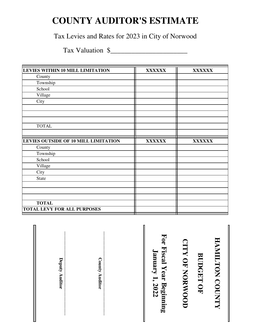## **COUNTY AUDITOR'S ESTIMATE**

Tax Levies and Rates for 2023 in City of Norwood

Tax Valuation \$\_\_\_\_\_\_\_\_\_\_\_\_\_\_\_\_\_\_\_\_\_\_

| <b>XXXXXX</b> | <b>XXXXXX</b> |
|---------------|---------------|
|               |               |
|               |               |
|               |               |
|               |               |
|               |               |
|               |               |
|               |               |
|               |               |
|               |               |
|               |               |
| <b>XXXXXX</b> | <b>XXXXXX</b> |
|               |               |
|               |               |
|               |               |
|               |               |
|               |               |
|               |               |
|               |               |
|               |               |
|               |               |
|               |               |
|               |               |
|               |               |

**\_\_\_\_\_\_\_\_\_\_\_\_\_\_\_\_\_\_\_\_\_\_\_\_\_\_\_\_\_\_\_\_\_\_\_\_ Deputy Auditor \_\_\_\_\_\_\_\_\_\_\_\_\_\_\_\_\_\_\_\_\_\_\_\_\_\_\_\_\_\_\_\_\_\_\_\_ BUDGET OF<br>CITY OF NORWOOD** For Fiscal Year Beginning<br>January 1, 2022 **For Fiscal Year Beginning**  HAMILTON COUNTY **HAMILTON COUNTY CITY OF NORWOOD January 1, 2022 BUDGET OF** Deputy Auditor **County Auditor County Auditor**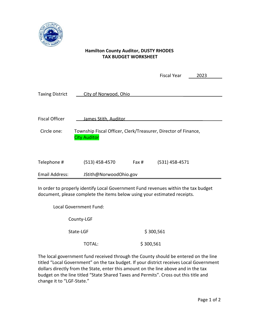

#### **Hamilton County Auditor, DUSTY RHODES TAX BUDGET WORKSHEET**

|                        |                                                                                       |       | <b>Fiscal Year</b> | 2023 |
|------------------------|---------------------------------------------------------------------------------------|-------|--------------------|------|
| <b>Taxing District</b> | City of Norwood, Ohio                                                                 |       |                    |      |
| <b>Fiscal Officer</b>  | James Stith, Auditor                                                                  |       |                    |      |
|                        |                                                                                       |       |                    |      |
| Circle one:            | Township Fiscal Officer, Clerk/Treasurer, Director of Finance,<br><b>City Auditor</b> |       |                    |      |
|                        |                                                                                       |       |                    |      |
| Telephone #            | $(513)$ 458-4570                                                                      | Fax # | $(531)$ 458-4571   |      |
| Email Address:         | JStith@NorwoodOhio.gov                                                                |       |                    |      |

In order to properly identify Local Government Fund revenues within the tax budget document, please complete the items below using your estimated receipts.

Local Government Fund:

County-LGF

State-LGF \$ 300,561

TOTAL:  $$300,561$ 

The local government fund received through the County should be entered on the line titled "Local Government" on the tax budget. If your district receives Local Government dollars directly from the State, enter this amount on the line above and in the tax budget on the line titled "State Shared Taxes and Permits". Cross out this title and change it to "LGF-State."